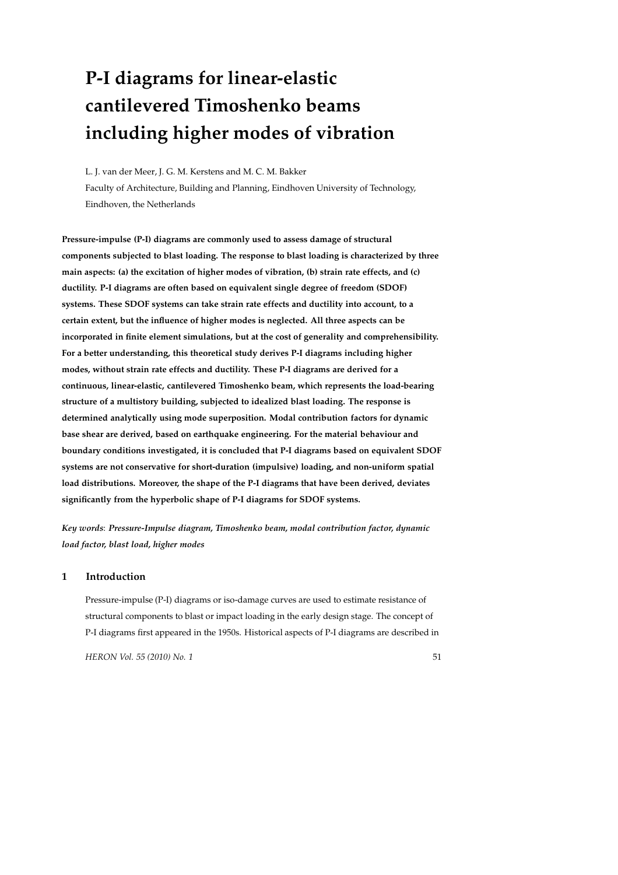# **P-I diagrams for linear-elastic cantilevered Timoshenko beams including higher modes of vibration**

L. J. van der Meer, J. G. M. Kerstens and M. C. M. Bakker Faculty of Architecture, Building and Planning, Eindhoven University of Technology, Eindhoven, the Netherlands

**Pressure-impulse (P-I) diagrams are commonly used to assess damage of structural components subjected to blast loading. The response to blast loading is characterized by three main aspects: (a) the excitation of higher modes of vibration, (b) strain rate effects, and (c) ductility. P-I diagrams are often based on equivalent single degree of freedom (SDOF) systems. These SDOF systems can take strain rate effects and ductility into account, to a certain extent, but the influence of higher modes is neglected. All three aspects can be incorporated in finite element simulations, but at the cost of generality and comprehensibility. For a better understanding, this theoretical study derives P-I diagrams including higher modes, without strain rate effects and ductility. These P-I diagrams are derived for a continuous, linear-elastic, cantilevered Timoshenko beam, which represents the load-bearing structure of a multistory building, subjected to idealized blast loading. The response is determined analytically using mode superposition. Modal contribution factors for dynamic base shear are derived, based on earthquake engineering. For the material behaviour and boundary conditions investigated, it is concluded that P-I diagrams based on equivalent SDOF systems are not conservative for short-duration (impulsive) loading, and non-uniform spatial load distributions. Moreover, the shape of the P-I diagrams that have been derived, deviates significantly from the hyperbolic shape of P-I diagrams for SDOF systems.**

*Key words*: *Pressure-Impulse diagram, Timoshenko beam, modal contribution factor, dynamic load factor, blast load, higher modes*

## **1 Introduction**

Pressure-impulse (P-I) diagrams or iso-damage curves are used to estimate resistance of structural components to blast or impact loading in the early design stage. The concept of P-I diagrams first appeared in the 1950s. Historical aspects of P-I diagrams are described in

*HERON Vol. 55 (2010) No. 1* 51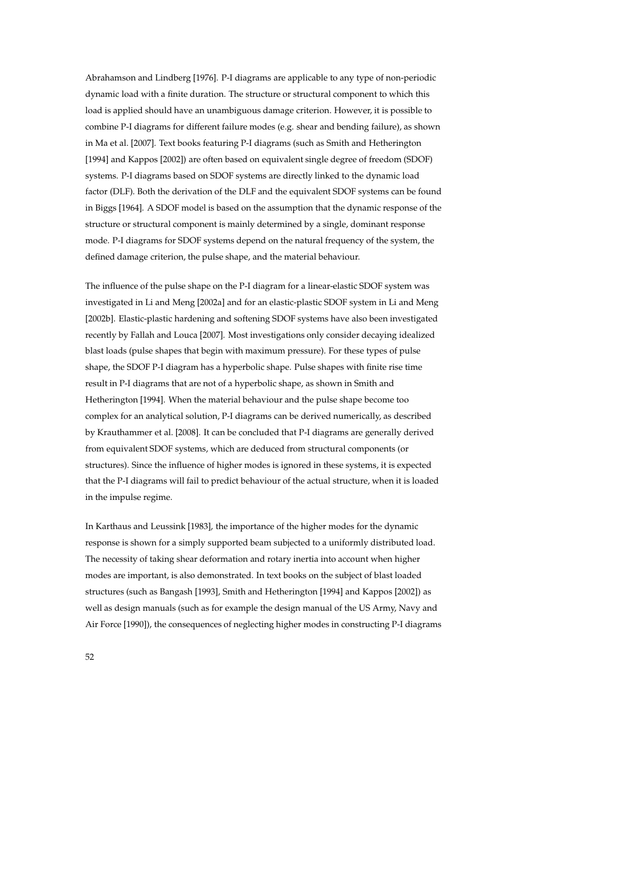Abrahamson and Lindberg [1976]. P-I diagrams are applicable to any type of non-periodic dynamic load with a finite duration. The structure or structural component to which this load is applied should have an unambiguous damage criterion. However, it is possible to combine P-I diagrams for different failure modes (e.g. shear and bending failure), as shown in Ma et al. [2007]. Text books featuring P-I diagrams (such as Smith and Hetherington [1994] and Kappos [2002]) are often based on equivalent single degree of freedom (SDOF) systems. P-I diagrams based on SDOF systems are directly linked to the dynamic load factor (DLF). Both the derivation of the DLF and the equivalent SDOF systems can be found in Biggs [1964]. A SDOF model is based on the assumption that the dynamic response of the structure or structural component is mainly determined by a single, dominant response mode. P-I diagrams for SDOF systems depend on the natural frequency of the system, the defined damage criterion, the pulse shape, and the material behaviour.

The influence of the pulse shape on the P-I diagram for a linear-elastic SDOF system was investigated in Li and Meng [2002a] and for an elastic-plastic SDOF system in Li and Meng [2002b]. Elastic-plastic hardening and softening SDOF systems have also been investigated recently by Fallah and Louca [2007]. Most investigations only consider decaying idealized blast loads (pulse shapes that begin with maximum pressure). For these types of pulse shape, the SDOF P-I diagram has a hyperbolic shape. Pulse shapes with finite rise time result in P-I diagrams that are not of a hyperbolic shape, as shown in Smith and Hetherington [1994]. When the material behaviour and the pulse shape become too complex for an analytical solution, P-I diagrams can be derived numerically, as described by Krauthammer et al. [2008]. It can be concluded that P-I diagrams are generally derived from equivalent SDOF systems, which are deduced from structural components (or structures). Since the influence of higher modes is ignored in these systems, it is expected that the P-I diagrams will fail to predict behaviour of the actual structure, when it is loaded in the impulse regime.

In Karthaus and Leussink [1983], the importance of the higher modes for the dynamic response is shown for a simply supported beam subjected to a uniformly distributed load. The necessity of taking shear deformation and rotary inertia into account when higher modes are important, is also demonstrated. In text books on the subject of blast loaded structures (such as Bangash [1993], Smith and Hetherington [1994] and Kappos [2002]) as well as design manuals (such as for example the design manual of the US Army, Navy and Air Force [1990]), the consequences of neglecting higher modes in constructing P-I diagrams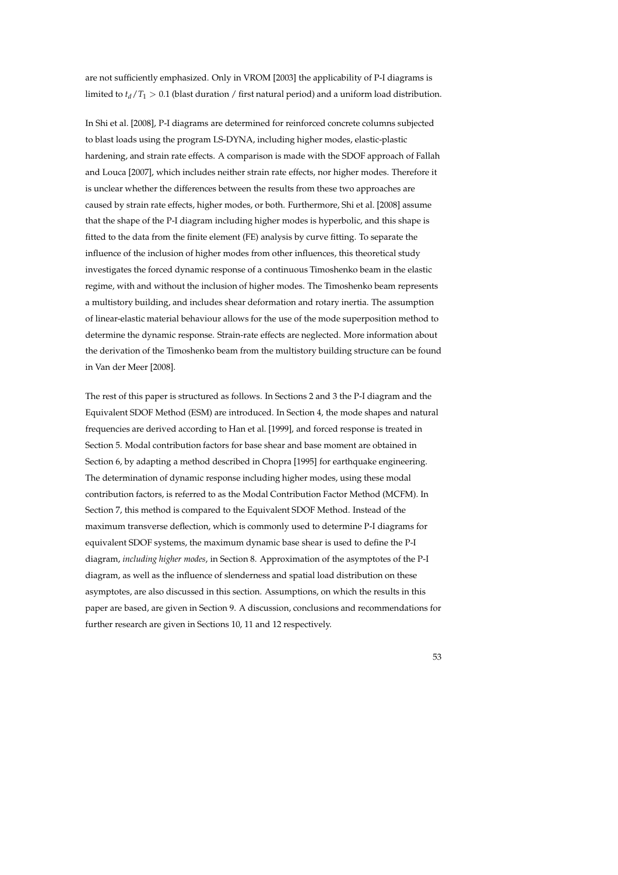are not sufficiently emphasized. Only in VROM [2003] the applicability of P-I diagrams is limited to  $t_d/T_1 > 0.1$  (blast duration / first natural period) and a uniform load distribution.

In Shi et al. [2008], P-I diagrams are determined for reinforced concrete columns subjected to blast loads using the program LS-DYNA, including higher modes, elastic-plastic hardening, and strain rate effects. A comparison is made with the SDOF approach of Fallah and Louca [2007], which includes neither strain rate effects, nor higher modes. Therefore it is unclear whether the differences between the results from these two approaches are caused by strain rate effects, higher modes, or both. Furthermore, Shi et al. [2008] assume that the shape of the P-I diagram including higher modes is hyperbolic, and this shape is fitted to the data from the finite element (FE) analysis by curve fitting. To separate the influence of the inclusion of higher modes from other influences, this theoretical study investigates the forced dynamic response of a continuous Timoshenko beam in the elastic regime, with and without the inclusion of higher modes. The Timoshenko beam represents a multistory building, and includes shear deformation and rotary inertia. The assumption of linear-elastic material behaviour allows for the use of the mode superposition method to determine the dynamic response. Strain-rate effects are neglected. More information about the derivation of the Timoshenko beam from the multistory building structure can be found in Van der Meer [2008].

The rest of this paper is structured as follows. In Sections 2 and 3 the P-I diagram and the Equivalent SDOF Method (ESM) are introduced. In Section 4, the mode shapes and natural frequencies are derived according to Han et al. [1999], and forced response is treated in Section 5. Modal contribution factors for base shear and base moment are obtained in Section 6, by adapting a method described in Chopra [1995] for earthquake engineering. The determination of dynamic response including higher modes, using these modal contribution factors, is referred to as the Modal Contribution Factor Method (MCFM). In Section 7, this method is compared to the Equivalent SDOF Method. Instead of the maximum transverse deflection, which is commonly used to determine P-I diagrams for equivalent SDOF systems, the maximum dynamic base shear is used to define the P-I diagram, *including higher modes*, in Section 8. Approximation of the asymptotes of the P-I diagram, as well as the influence of slenderness and spatial load distribution on these asymptotes, are also discussed in this section. Assumptions, on which the results in this paper are based, are given in Section 9. A discussion, conclusions and recommendations for further research are given in Sections 10, 11 and 12 respectively.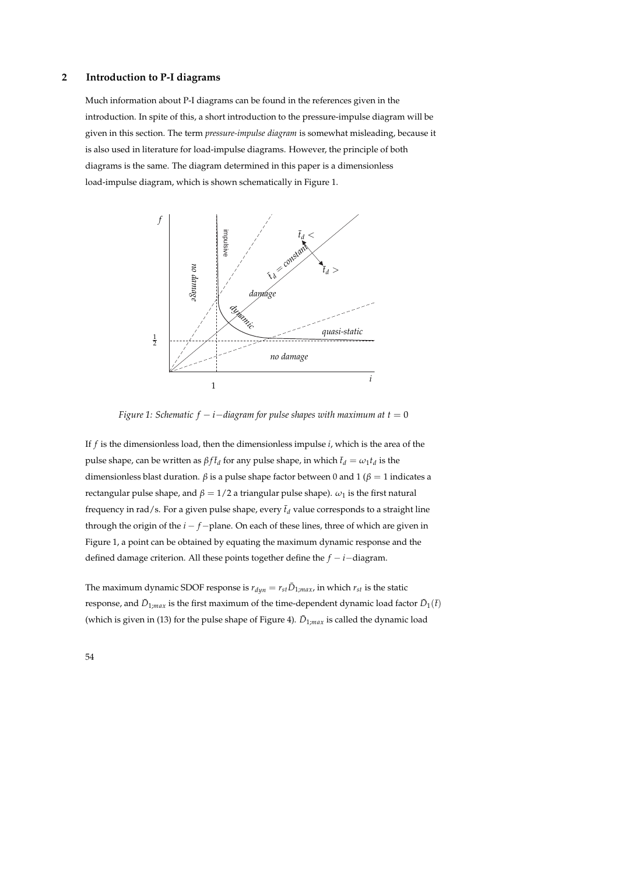#### **2 Introduction to P-I diagrams**

Much information about P-I diagrams can be found in the references given in the introduction. In spite of this, a short introduction to the pressure-impulse diagram will be given in this section. The term *pressure-impulse diagram* is somewhat misleading, because it is also used in literature for load-impulse diagrams. However, the principle of both diagrams is the same. The diagram determined in this paper is a dimensionless load-impulse diagram, which is shown schematically in Figure 1.



*Figure 1: Schematic f*  $-i$  $-i$ *diagram for pulse shapes with maximum at t = 0* 

If *f* is the dimensionless load, then the dimensionless impulse *i*, which is the area of the pulse shape, can be written as  $βf\bar{t}_d$  for any pulse shape, in which  $\bar{t}_d = ω_1t_d$  is the dimensionless blast duration. *β* is a pulse shape factor between 0 and 1 (*β* = 1 indicates a rectangular pulse shape, and  $β = 1/2$  a triangular pulse shape).  $ω_1$  is the first natural frequency in rad/s. For a given pulse shape, every  $\bar{t}_d$  value corresponds to a straight line through the origin of the *i* − *f* −plane. On each of these lines, three of which are given in Figure 1, a point can be obtained by equating the maximum dynamic response and the defined damage criterion. All these points together define the *f* − *i*−diagram.

The maximum dynamic SDOF response is  $r_{dyn} = r_{st} \bar{D}_{1;max}$ , in which  $r_{st}$  is the static response, and  $\bar{D}_{1;max}$  is the first maximum of the time-dependent dynamic load factor  $\bar{D}_1(\bar{t})$ (which is given in (13) for the pulse shape of Figure 4).  $\bar{D}_{1;max}$  is called the dynamic load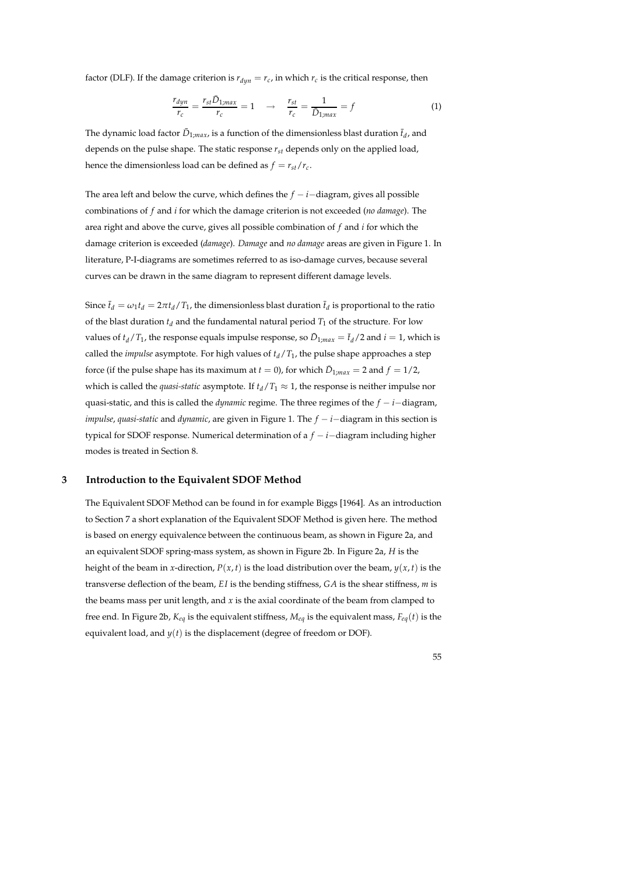factor (DLF). If the damage criterion is  $r_{dyn} = r_c$ , in which  $r_c$  is the critical response, then

$$
\frac{r_{dyn}}{r_c} = \frac{r_{st}\bar{D}_{1;max}}{r_c} = 1 \quad \rightarrow \quad \frac{r_{st}}{r_c} = \frac{1}{\bar{D}_{1;max}} = f \tag{1}
$$

The dynamic load factor  $\bar{D}_{1;max}$ , is a function of the dimensionless blast duration  $\bar{t}_d$ , and depends on the pulse shape. The static response *rst* depends only on the applied load, hence the dimensionless load can be defined as  $f = r_{st}/r_c$ .

The area left and below the curve, which defines the  $f - i -$ diagram, gives all possible combinations of *f* and *i* for which the damage criterion is not exceeded (*no damage*). The area right and above the curve, gives all possible combination of *f* and *i* for which the damage criterion is exceeded (*damage*). *Damage* and *no damage* areas are given in Figure 1. In literature, P-I-diagrams are sometimes referred to as iso-damage curves, because several curves can be drawn in the same diagram to represent different damage levels.

Since  $\bar{t}_d = \omega_1 t_d = 2\pi t_d / T_1$ , the dimensionless blast duration  $\bar{t}_d$  is proportional to the ratio of the blast duration  $t_d$  and the fundamental natural period  $T_1$  of the structure. For low values of  $t_d/T_1$ , the response equals impulse response, so  $\bar{D}_{1,max} = \bar{t}_d/2$  and  $i = 1$ , which is called the *impulse* asymptote. For high values of  $t_d/T_1$ , the pulse shape approaches a step force (if the pulse shape has its maximum at  $t = 0$ ), for which  $\bar{D}_{1;max} = 2$  and  $f = 1/2$ , which is called the *quasi-static* asymptote. If  $t_d/T_1 \approx 1$ , the response is neither impulse nor quasi-static, and this is called the *dynamic* regime. The three regimes of the *f* − *i*−diagram, *impulse*, *quasi-static* and *dynamic*, are given in Figure 1. The *f* − *i*−diagram in this section is typical for SDOF response. Numerical determination of a *f* − *i*−diagram including higher modes is treated in Section 8.

### **3 Introduction to the Equivalent SDOF Method**

The Equivalent SDOF Method can be found in for example Biggs [1964]. As an introduction to Section 7 a short explanation of the Equivalent SDOF Method is given here. The method is based on energy equivalence between the continuous beam, as shown in Figure 2a, and an equivalent SDOF spring-mass system, as shown in Figure 2b. In Figure 2a, *H* is the height of the beam in *x*-direction,  $P(x, t)$  is the load distribution over the beam,  $y(x, t)$  is the transverse deflection of the beam, *E I* is the bending stiffness, *GA* is the shear stiffness, *m* is the beams mass per unit length, and *x* is the axial coordinate of the beam from clamped to free end. In Figure 2b, *Keq* is the equivalent stiffness, *Meq* is the equivalent mass, *Feq*(*t*) is the equivalent load, and  $y(t)$  is the displacement (degree of freedom or DOF).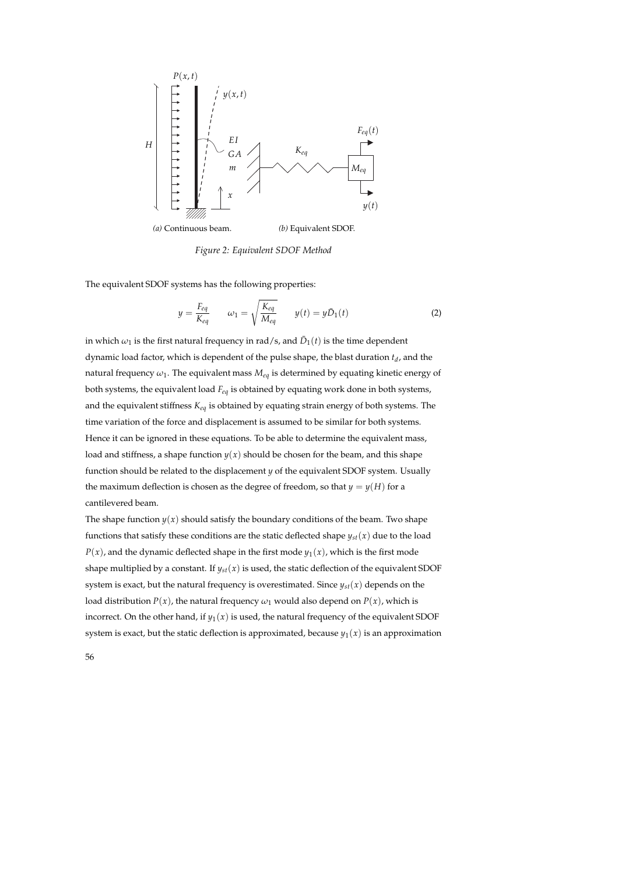

*Figure 2: Equivalent SDOF Method*

The equivalent SDOF systems has the following properties:

$$
y = \frac{F_{eq}}{K_{eq}} \qquad \omega_1 = \sqrt{\frac{K_{eq}}{M_{eq}}} \qquad y(t) = y\bar{D}_1(t) \tag{2}
$$

in which  $\omega_1$  is the first natural frequency in rad/s, and  $\bar{D}_1(t)$  is the time dependent dynamic load factor, which is dependent of the pulse shape, the blast duration *t<sup>d</sup>* , and the natural frequency *ω*1. The equivalent mass *Meq* is determined by equating kinetic energy of both systems, the equivalent load *Feq* is obtained by equating work done in both systems, and the equivalent stiffness *Keq* is obtained by equating strain energy of both systems. The time variation of the force and displacement is assumed to be similar for both systems. Hence it can be ignored in these equations. To be able to determine the equivalent mass, load and stiffness, a shape function  $y(x)$  should be chosen for the beam, and this shape function should be related to the displacement *y* of the equivalent SDOF system. Usually the maximum deflection is chosen as the degree of freedom, so that  $y = y(H)$  for a cantilevered beam.

The shape function  $y(x)$  should satisfy the boundary conditions of the beam. Two shape functions that satisfy these conditions are the static deflected shape  $y_{st}(x)$  due to the load  $P(x)$ , and the dynamic deflected shape in the first mode  $y_1(x)$ , which is the first mode shape multiplied by a constant. If  $y_{st}(x)$  is used, the static deflection of the equivalent SDOF system is exact, but the natural frequency is overestimated. Since  $y_{st}(x)$  depends on the load distribution  $P(x)$ , the natural frequency  $\omega_1$  would also depend on  $P(x)$ , which is incorrect. On the other hand, if  $y_1(x)$  is used, the natural frequency of the equivalent SDOF system is exact, but the static deflection is approximated, because  $y_1(x)$  is an approximation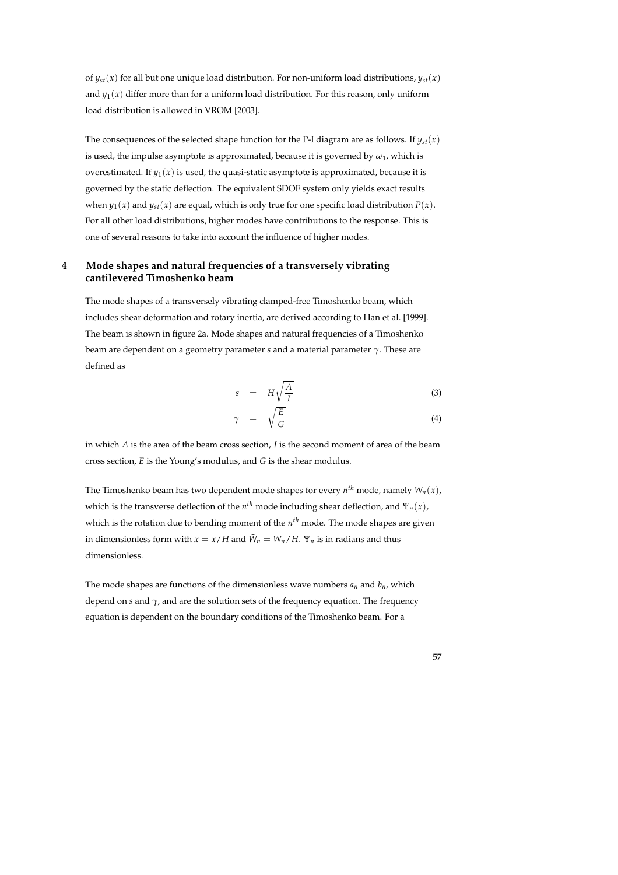of  $y_{st}(x)$  for all but one unique load distribution. For non-uniform load distributions,  $y_{st}(x)$ and  $y_1(x)$  differ more than for a uniform load distribution. For this reason, only uniform load distribution is allowed in VROM [2003].

The consequences of the selected shape function for the P-I diagram are as follows. If  $y_{st}(x)$ is used, the impulse asymptote is approximated, because it is governed by  $\omega_1$ , which is overestimated. If  $y_1(x)$  is used, the quasi-static asymptote is approximated, because it is governed by the static deflection. The equivalent SDOF system only yields exact results when  $y_1(x)$  and  $y_{s}(x)$  are equal, which is only true for one specific load distribution  $P(x)$ . For all other load distributions, higher modes have contributions to the response. This is one of several reasons to take into account the influence of higher modes.

## **4 Mode shapes and natural frequencies of a transversely vibrating cantilevered Timoshenko beam**

The mode shapes of a transversely vibrating clamped-free Timoshenko beam, which includes shear deformation and rotary inertia, are derived according to Han et al. [1999]. The beam is shown in figure 2a. Mode shapes and natural frequencies of a Timoshenko beam are dependent on a geometry parameter *s* and a material parameter *γ*. These are defined as

$$
s = H\sqrt{\frac{A}{I}} \tag{3}
$$

$$
\gamma = \sqrt{\frac{E}{G}} \tag{4}
$$

in which *A* is the area of the beam cross section, *I* is the second moment of area of the beam cross section, *E* is the Young's modulus, and *G* is the shear modulus.

The Timoshenko beam has two dependent mode shapes for every *n th* mode, namely *Wn*(*x*), which is the transverse deflection of the  $n^{th}$  mode including shear deflection, and  $\Psi_n(x)$ , which is the rotation due to bending moment of the *n th* mode. The mode shapes are given in dimensionless form with  $\bar{x} = x/H$  and  $\bar{W}_n = W_n/H$ .  $\Psi_n$  is in radians and thus dimensionless.

The mode shapes are functions of the dimensionless wave numbers  $a_n$  and  $b_n$ , which depend on *s* and *γ*, and are the solution sets of the frequency equation. The frequency equation is dependent on the boundary conditions of the Timoshenko beam. For a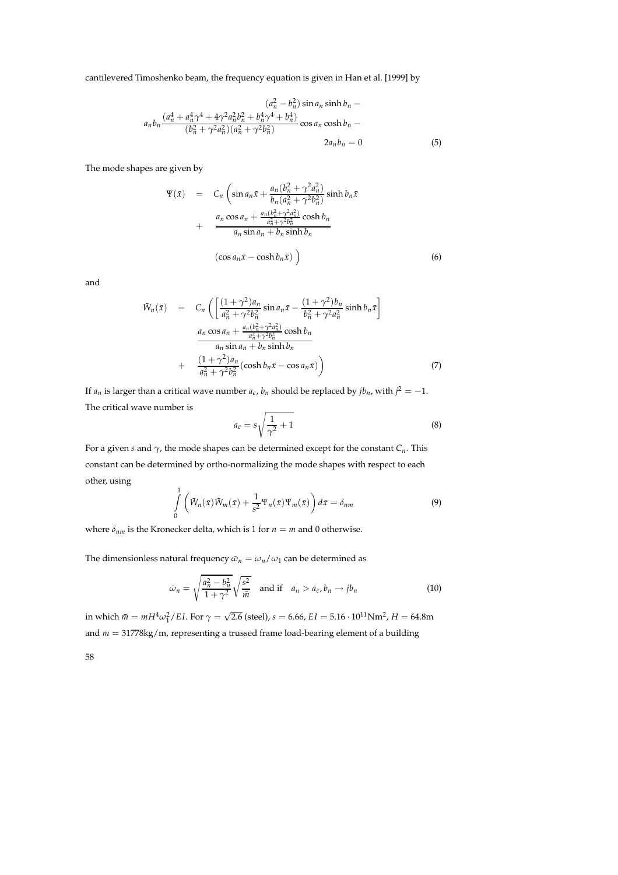cantilevered Timoshenko beam, the frequency equation is given in Han et al. [1999] by

$$
(a_n^2 - b_n^2) \sin a_n \sinh b_n - a_n b_n \frac{(a_n^4 + a_n^4 \gamma^4 + 4 \gamma^2 a_n^2 b_n^2 + b_n^4 \gamma^4 + b_n^4)}{(b_n^2 + \gamma^2 a_n^2)(a_n^2 + \gamma^2 b_n^2)} \cos a_n \cosh b_n - 2a_n b_n = 0
$$
\n(5)

The mode shapes are given by

$$
\Psi(\bar{x}) = C_n \left( \sin a_n \bar{x} + \frac{a_n (b_n^2 + \gamma^2 a_n^2)}{b_n (a_n^2 + \gamma^2 b_n^2)} \sinh b_n \bar{x} + \frac{a_n \cos a_n + \frac{a_n (b_n^2 + \gamma^2 a_n^2)}{a_n^2 + \gamma^2 b_n^2} \cosh b_n}{a_n \sin a_n + b_n \sinh b_n} \right)
$$
\n
$$
\left( \cos a_n \bar{x} - \cosh b_n \bar{x} \right) \tag{6}
$$

and

$$
\bar{W}_n(\bar{x}) = C_n \left( \left[ \frac{(1+\gamma^2)a_n}{a_n^2 + \gamma^2 b_n^2} \sin a_n \bar{x} - \frac{(1+\gamma^2)b_n}{b_n^2 + \gamma^2 a_n^2} \sinh b_n \bar{x} \right] \right)
$$
  

$$
\frac{a_n \cos a_n + \frac{a_n (b_n^2 + \gamma^2 a_n^2)}{a_n^2 + \gamma^2 b_n^2} \cosh b_n}{a_n \sin a_n + b_n \sinh b_n}
$$
  
+ 
$$
\frac{(1+\gamma^2)a_n}{a_n^2 + \gamma^2 b_n^2} (\cosh b_n \bar{x} - \cos a_n \bar{x}) \right)
$$
(7)

If  $a_n$  is larger than a critical wave number  $a_c$ ,  $b_n$  should be replaced by  $jb_n$ , with  $j^2 = -1$ . The critical wave number is

$$
a_c = s\sqrt{\frac{1}{\gamma^2} + 1} \tag{8}
$$

For a given *s* and *γ*, the mode shapes can be determined except for the constant *Cn*. This constant can be determined by ortho-normalizing the mode shapes with respect to each other, using

$$
\int_{0}^{1} \left( \bar{W}_n(\bar{x}) \bar{W}_m(\bar{x}) + \frac{1}{s^2} \Psi_n(\bar{x}) \Psi_m(\bar{x}) \right) d\bar{x} = \delta_{nm}
$$
\n(9)

where  $\delta_{nm}$  is the Kronecker delta, which is 1 for  $n = m$  and 0 otherwise.

The dimensionless natural frequency  $\bar{\omega}_n = \omega_n / \omega_1$  can be determined as

$$
\bar{\omega}_n = \sqrt{\frac{a_n^2 - b_n^2}{1 + \gamma^2}} \sqrt{\frac{s^2}{\bar{m}}} \quad \text{and if} \quad a_n > a_c, b_n \to jb_n \tag{10}
$$

in which  $\bar{m} = mH^4\omega_1^2/EI$ . For  $\gamma = \sqrt{2.6}$  (steel),  $s = 6.66$ ,  $EI = 5.16 \cdot 10^{11}Nm^2$ ,  $H = 64.8m$ and *m* = 31778kg/m, representing a trussed frame load-bearing element of a building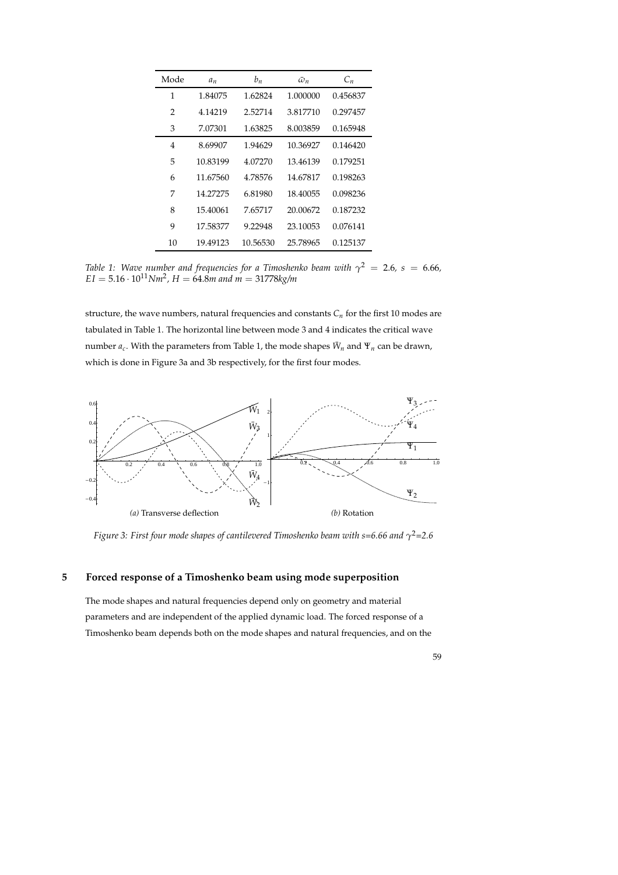| Mode | $a_n$    | $b_n$    | $\bar{\omega}_n$ | $C_n$    |
|------|----------|----------|------------------|----------|
| 1    | 1.84075  | 1.62824  | 1.000000         | 0.456837 |
| 2    | 4.14219  | 2.52714  | 3.817710         | 0.297457 |
| 3    | 7.07301  | 1.63825  | 8.003859         | 0.165948 |
| 4    | 8.69907  | 1.94629  | 10.36927         | 0.146420 |
| 5    | 10.83199 | 4.07270  | 13.46139         | 0.179251 |
| 6    | 11.67560 | 4.78576  | 14.67817         | 0.198263 |
| 7    | 14.27275 | 6.81980  | 18.40055         | 0.098236 |
| 8    | 15.40061 | 7.65717  | 20.00672         | 0.187232 |
| 9    | 17.58377 | 9.22948  | 23.10053         | 0.076141 |
| 10   | 19.49123 | 10.56530 | 25.78965         | 0.125137 |

*Table 1: Wave number and frequencies for a Timoshenko beam with*  $\gamma^2$  *= 2.6, s = 6.66,*  $EI = 5.16 \cdot 10^{11} Nm^2$ ,  $H = 64.8m$  and  $m = 31778 kg/m$ 

structure, the wave numbers, natural frequencies and constants  $C<sub>n</sub>$  for the first 10 modes are tabulated in Table 1. The horizontal line between mode 3 and 4 indicates the critical wave  $n$ umber  $a_c$ . With the parameters from Table 1, the mode shapes  $\bar{W}_n$  and  $\Psi_n$  can be drawn, which is done in Figure 3a and 3b respectively, for the first four modes.



*Figure 3: First four mode shapes of cantilevered Timoshenko beam with s=6.66 and γ* <sup>2</sup>*=2.6*

## **5 Forced response of a Timoshenko beam using mode superposition**

The mode shapes and natural frequencies depend only on geometry and material parameters and are independent of the applied dynamic load. The forced response of a Timoshenko beam depends both on the mode shapes and natural frequencies, and on the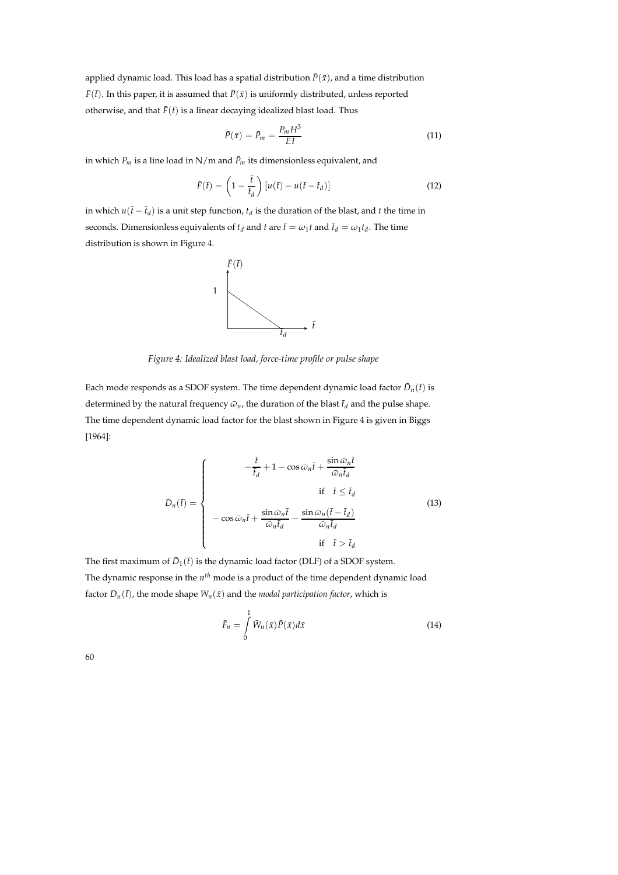applied dynamic load. This load has a spatial distribution  $\bar{P}(\bar{x})$ , and a time distribution  $\bar{F}(\bar{t})$ . In this paper, it is assumed that  $\bar{P}(\bar{x})$  is uniformly distributed, unless reported otherwise, and that  $\bar{F}(\bar{t})$  is a linear decaying idealized blast load. Thus

$$
\bar{P}(\bar{x}) = \bar{P}_m = \frac{P_m H^3}{EI} \tag{11}
$$

in which  $P_m$  is a line load in N/m and  $\bar{P}_m$  its dimensionless equivalent, and

$$
\bar{F}(\bar{t}) = \left(1 - \frac{\bar{t}}{\bar{t}_d}\right) \left[u(\bar{t}) - u(\bar{t} - \bar{t}_d)\right]
$$
\n(12)

in which  $u(\bar{t} - \bar{t}_d)$  is a unit step function,  $t_d$  is the duration of the blast, and *t* the time in seconds. Dimensionless equivalents of  $t_d$  and  $t$  are  $\bar{t} = \omega_1 t$  and  $\bar{t}_d = \omega_1 t_d$ . The time distribution is shown in Figure 4.



*Figure 4: Idealized blast load, force-time profile or pulse shape*

Each mode responds as a SDOF system. The time dependent dynamic load factor  $\bar{D}_n(\bar{t})$  is determined by the natural frequency  $\bar{\omega}_n$ , the duration of the blast  $\bar{t}_d$  and the pulse shape. The time dependent dynamic load factor for the blast shown in Figure 4 is given in Biggs [1964]:

$$
\bar{D}_n(\bar{t}) = \begin{cases}\n-\frac{\bar{t}}{\bar{t}_d} + 1 - \cos \bar{\omega}_n \bar{t} + \frac{\sin \bar{\omega}_n \bar{t}}{\bar{\omega}_n \bar{t}_d} \\
\text{if } \bar{t} \leq \bar{t}_d \\
-\cos \bar{\omega}_n \bar{t} + \frac{\sin \bar{\omega}_n \bar{t}}{\bar{\omega}_n \bar{t}_d} - \frac{\sin \bar{\omega}_n (\bar{t} - \bar{t}_d)}{\bar{\omega}_n \bar{t}_d} \\
\text{if } \bar{t} > \bar{t}_d\n\end{cases}
$$
\n(13)

The first maximum of  $\bar{D}_1(\bar{t})$  is the dynamic load factor (DLF) of a SDOF system. The dynamic response in the *n th* mode is a product of the time dependent dynamic load factor  $\bar{D}_n(\bar{t})$ , the mode shape  $\bar{W}_n(\bar{x})$  and the *modal participation factor*, which is

$$
\bar{F}_n = \int\limits_0^1 \bar{W}_n(\bar{x}) \bar{P}(\bar{x}) d\bar{x}
$$
 (14)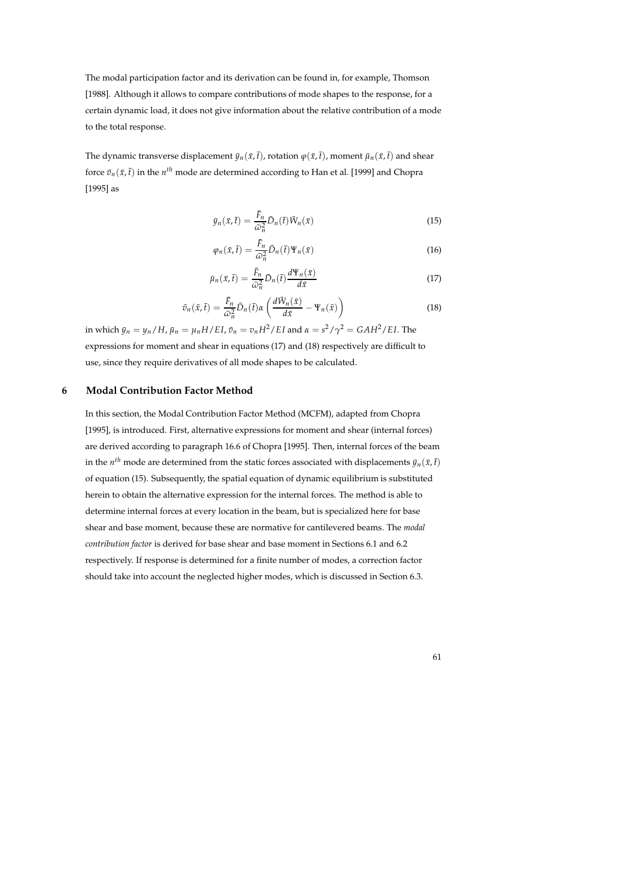The modal participation factor and its derivation can be found in, for example, Thomson [1988]. Although it allows to compare contributions of mode shapes to the response, for a certain dynamic load, it does not give information about the relative contribution of a mode to the total response.

The dynamic transverse displacement  $\bar{y}_n(\bar{x},\bar{t})$ , rotation  $\varphi(\bar{x},\bar{t})$ , moment  $\bar{\mu}_n(\bar{x},\bar{t})$  and shear force  $\bar{v}_n(\bar{x},\bar{t})$  in the  $n^{th}$  mode are determined according to Han et al. [1999] and Chopra [1995] as

$$
\bar{y}_n(\bar{x}, \bar{t}) = \frac{\bar{F}_n}{\bar{\omega}_n^2} \bar{D}_n(\bar{t}) \bar{W}_n(\bar{x}) \tag{15}
$$

$$
\varphi_n(\bar{x}, \bar{t}) = \frac{F_n}{\bar{\omega}_n^2} \bar{D}_n(\bar{t}) \Psi_n(\bar{x}) \tag{16}
$$

$$
\bar{\mu}_n(\bar{x}, \bar{t}) = \frac{\bar{F}_n}{\bar{\omega}_n^2} D_n(\bar{t}) \frac{d\Psi_n(\bar{x})}{d\bar{x}}
$$
\n(17)

$$
\bar{v}_n(\bar{x}, \bar{t}) = \frac{\bar{F}_n}{\bar{\omega}_n^2} \bar{D}_n(\bar{t}) \alpha \left( \frac{d \bar{W}_n(\bar{x})}{d \bar{x}} - \Psi_n(\bar{x}) \right)
$$
(18)

in which  $\bar{y}_n = y_n/H$ ,  $\bar{\mu}_n = \mu_n H/EI$ ,  $\bar{v}_n = v_n H^2/EI$  and  $\alpha = s^2/\gamma^2 = GAH^2/EI$ . The expressions for moment and shear in equations (17) and (18) respectively are difficult to use, since they require derivatives of all mode shapes to be calculated.

## **6 Modal Contribution Factor Method**

In this section, the Modal Contribution Factor Method (MCFM), adapted from Chopra [1995], is introduced. First, alternative expressions for moment and shear (internal forces) are derived according to paragraph 16.6 of Chopra [1995]. Then, internal forces of the beam in the  $n^{th}$  mode are determined from the static forces associated with displacements  $\bar{y}_n(\bar{x},\bar{t})$ of equation (15). Subsequently, the spatial equation of dynamic equilibrium is substituted herein to obtain the alternative expression for the internal forces. The method is able to determine internal forces at every location in the beam, but is specialized here for base shear and base moment, because these are normative for cantilevered beams. The *modal contribution factor* is derived for base shear and base moment in Sections 6.1 and 6.2 respectively. If response is determined for a finite number of modes, a correction factor should take into account the neglected higher modes, which is discussed in Section 6.3.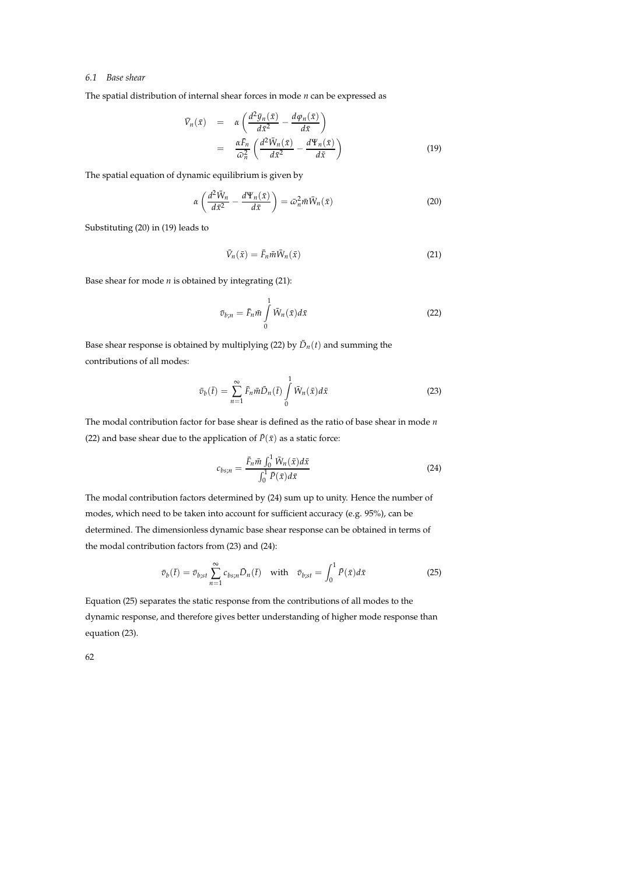#### *6.1 Base shear*

The spatial distribution of internal shear forces in mode *n* can be expressed as

$$
\begin{array}{rcl}\n\bar{V}_n(\bar{x}) & = & \alpha \left( \frac{d^2 \bar{y}_n(\bar{x})}{d\bar{x}^2} - \frac{d \varphi_n(\bar{x})}{d\bar{x}} \right) \\
& = & \frac{\alpha \bar{F}_n}{\bar{\omega}_n^2} \left( \frac{d^2 \bar{W}_n(\bar{x})}{d\bar{x}^2} - \frac{d \Psi_n(\bar{x})}{d\bar{x}} \right)\n\end{array} \tag{19}
$$

The spatial equation of dynamic equilibrium is given by

$$
\alpha \left( \frac{d^2 \bar{W}_n}{d\bar{x}^2} - \frac{d\Psi_n(\bar{x})}{d\bar{x}} \right) = \bar{\omega}_n^2 \bar{m} \bar{W}_n(\bar{x}) \tag{20}
$$

Substituting (20) in (19) leads to

$$
\bar{V}_n(\bar{x}) = \bar{F}_n \bar{m} \bar{W}_n(\bar{x}) \tag{21}
$$

Base shear for mode *n* is obtained by integrating (21):

$$
\bar{v}_{b;n} = \bar{F}_n \bar{m} \int\limits_0^1 \bar{W}_n(\bar{x}) d\bar{x}
$$
\n(22)

Base shear response is obtained by multiplying (22) by  $\bar{D}_n(t)$  and summing the contributions of all modes:

$$
\bar{v}_b(\bar{t}) = \sum_{n=1}^{\infty} \bar{F}_n n \bar{D}_n(\bar{t}) \int_0^1 \bar{W}_n(\bar{x}) d\bar{x}
$$
\n(23)

The modal contribution factor for base shear is defined as the ratio of base shear in mode *n* (22) and base shear due to the application of  $\bar{P}(\bar{x})$  as a static force:

$$
c_{bs;n} = \frac{\bar{F}_n \bar{m} \int_0^1 \bar{W}_n(\bar{x}) d\bar{x}}{\int_0^1 \bar{P}(\bar{x}) d\bar{x}}
$$
(24)

The modal contribution factors determined by (24) sum up to unity. Hence the number of modes, which need to be taken into account for sufficient accuracy (e.g. 95%), can be determined. The dimensionless dynamic base shear response can be obtained in terms of the modal contribution factors from (23) and (24):

$$
\bar{v}_b(\bar{t}) = \bar{v}_{b;st} \sum_{n=1}^{\infty} c_{bs;n} \bar{D}_n(\bar{t}) \quad \text{with} \quad \bar{v}_{b;st} = \int_0^1 \bar{P}(\bar{x}) d\bar{x} \tag{25}
$$

Equation (25) separates the static response from the contributions of all modes to the dynamic response, and therefore gives better understanding of higher mode response than equation (23).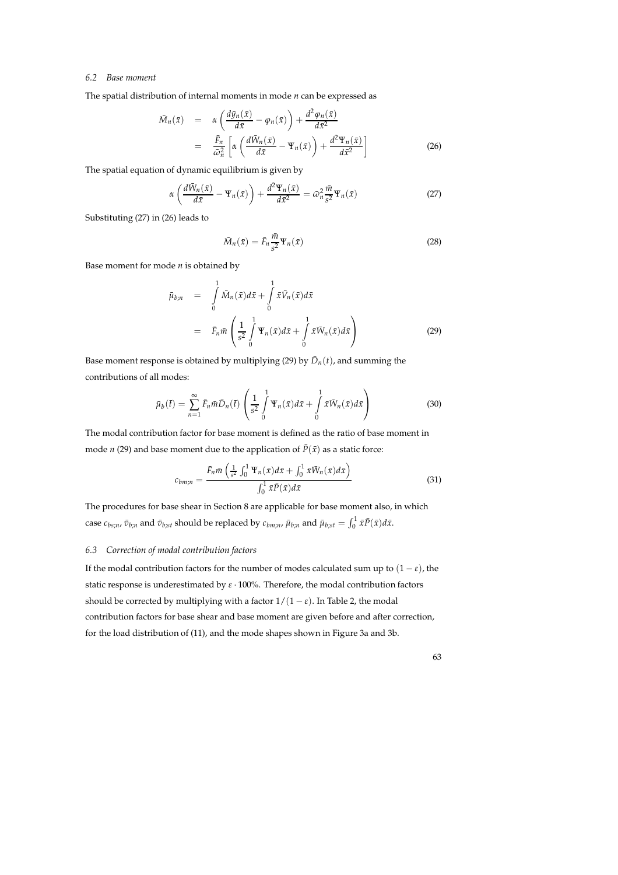#### *6.2 Base moment*

The spatial distribution of internal moments in mode *n* can be expressed as

$$
\tilde{M}_n(\bar{x}) = \alpha \left( \frac{d\bar{y}_n(\bar{x})}{d\bar{x}} - \varphi_n(\bar{x}) \right) + \frac{d^2 \varphi_n(\bar{x})}{d\bar{x}^2} \n= \frac{\bar{F}_n}{\bar{\omega}_n^2} \left[ \alpha \left( \frac{d\bar{W}_n(\bar{x})}{d\bar{x}} - \Psi_n(\bar{x}) \right) + \frac{d^2 \Psi_n(\bar{x})}{d\bar{x}^2} \right]
$$
\n(26)

The spatial equation of dynamic equilibrium is given by

$$
\alpha \left( \frac{d\bar{W}_n(\bar{x})}{d\bar{x}} - \Psi_n(\bar{x}) \right) + \frac{d^2 \Psi_n(\bar{x})}{d\bar{x}^2} = \bar{\omega}_n^2 \frac{\bar{m}}{s^2} \Psi_n(\bar{x}) \tag{27}
$$

Substituting (27) in (26) leads to

$$
\bar{M}_n(\bar{x}) = \bar{F}_n \frac{\bar{m}}{s^2} \Psi_n(\bar{x})
$$
\n(28)

Base moment for mode *n* is obtained by

$$
\bar{\mu}_{b;n} = \int\limits_{0}^{1} \bar{M}_n(\bar{x}) d\bar{x} + \int\limits_{0}^{1} \bar{x} \bar{V}_n(\bar{x}) d\bar{x} \n= \bar{F}_n \bar{m} \left( \frac{1}{s^2} \int\limits_{0}^{1} \Psi_n(\bar{x}) d\bar{x} + \int\limits_{0}^{1} \bar{x} \bar{W}_n(\bar{x}) d\bar{x} \right)
$$
\n(29)

Base moment response is obtained by multiplying (29) by  $\bar{D}_n(t)$ , and summing the contributions of all modes:

$$
\bar{\mu}_b(\bar{t}) = \sum_{n=1}^{\infty} \bar{F}_n \bar{m} \bar{D}_n(\bar{t}) \left( \frac{1}{s^2} \int_0^1 \Psi_n(\bar{x}) d\bar{x} + \int_0^1 \bar{x} \bar{W}_n(\bar{x}) d\bar{x} \right) \tag{30}
$$

The modal contribution factor for base moment is defined as the ratio of base moment in mode *n* (29) and base moment due to the application of  $\bar{P}(\bar{x})$  as a static force:

$$
c_{bm;n} = \frac{\bar{F}_n \bar{m} \left( \frac{1}{s^2} \int_0^1 \Psi_n(\bar{x}) d\bar{x} + \int_0^1 \bar{x} \bar{W}_n(\bar{x}) d\bar{x} \right)}{\int_0^1 \bar{x} \bar{P}(\bar{x}) d\bar{x}}
$$
(31)

The procedures for base shear in Section 8 are applicable for base moment also, in which case  $c_{bs;n}$ ,  $\bar{v}_{b;n}$  and  $\bar{v}_{b;st}$  should be replaced by  $c_{bm;n}$ ,  $\bar{\mu}_{b;n}$  and  $\bar{\mu}_{b;st} = \int_0^1 \bar{x} \bar{P}(\bar{x}) d\bar{x}$ .

#### *6.3 Correction of modal contribution factors*

If the modal contribution factors for the number of modes calculated sum up to  $(1 - \varepsilon)$ , the static response is underestimated by *ε* · 100%. Therefore, the modal contribution factors should be corrected by multiplying with a factor  $1/(1 - \varepsilon)$ . In Table 2, the modal contribution factors for base shear and base moment are given before and after correction, for the load distribution of (11), and the mode shapes shown in Figure 3a and 3b.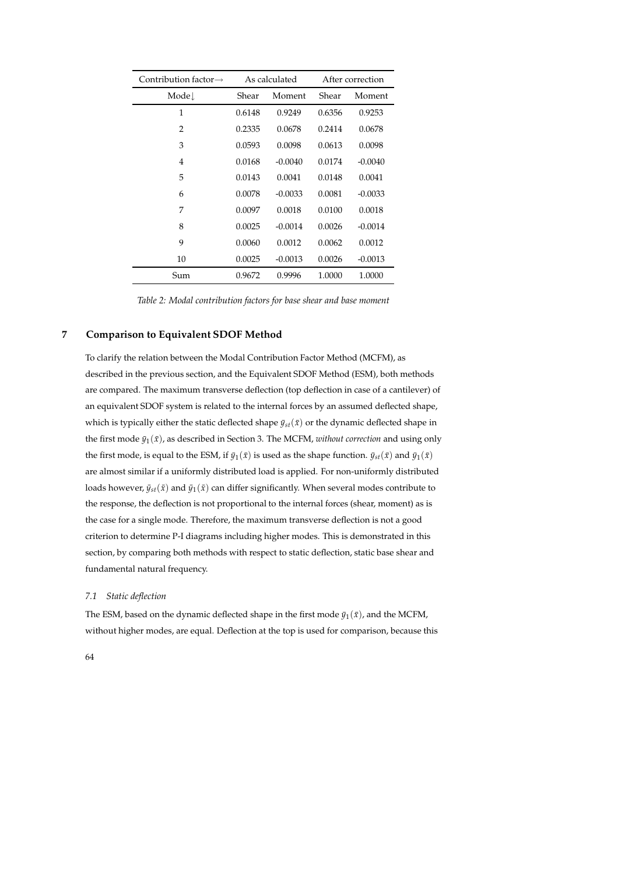| Contribution factor $\rightarrow$ | As calculated |           | After correction |           |
|-----------------------------------|---------------|-----------|------------------|-----------|
| Mode.                             | Shear         | Moment    | Shear            | Moment    |
| 1                                 | 0.6148        | 0.9249    | 0.6356           | 0.9253    |
| $\overline{2}$                    | 0.2335        | 0.0678    | 0.2414           | 0.0678    |
| 3                                 | 0.0593        | 0.0098    | 0.0613           | 0.0098    |
| 4                                 | 0.0168        | $-0.0040$ | 0.0174           | $-0.0040$ |
| 5                                 | 0.0143        | 0.0041    | 0.0148           | 0.0041    |
| 6                                 | 0.0078        | $-0.0033$ | 0.0081           | $-0.0033$ |
| 7                                 | 0.0097        | 0.0018    | 0.0100           | 0.0018    |
| 8                                 | 0.0025        | $-0.0014$ | 0.0026           | $-0.0014$ |
| 9                                 | 0.0060        | 0.0012    | 0.0062           | 0.0012    |
| 10                                | 0.0025        | $-0.0013$ | 0.0026           | $-0.0013$ |
| Sum                               | 0.9672        | 0.9996    | 1.0000           | 1.0000    |

*Table 2: Modal contribution factors for base shear and base moment*

## **7 Comparison to Equivalent SDOF Method**

To clarify the relation between the Modal Contribution Factor Method (MCFM), as described in the previous section, and the Equivalent SDOF Method (ESM), both methods are compared. The maximum transverse deflection (top deflection in case of a cantilever) of an equivalent SDOF system is related to the internal forces by an assumed deflected shape, which is typically either the static deflected shape  $\bar{y}_{st}(\bar{x})$  or the dynamic deflected shape in the first mode  $\bar{y}_1(\bar{x})$ , as described in Section 3. The MCFM, *without correction* and using only the first mode, is equal to the ESM, if  $\bar{y}_1(\bar{x})$  is used as the shape function.  $\bar{y}_{st}(\bar{x})$  and  $\bar{y}_1(\bar{x})$ are almost similar if a uniformly distributed load is applied. For non-uniformly distributed loads however,  $\bar{y}_{st}(\bar{x})$  and  $\bar{y}_1(\bar{x})$  can differ significantly. When several modes contribute to the response, the deflection is not proportional to the internal forces (shear, moment) as is the case for a single mode. Therefore, the maximum transverse deflection is not a good criterion to determine P-I diagrams including higher modes. This is demonstrated in this section, by comparing both methods with respect to static deflection, static base shear and fundamental natural frequency.

#### *7.1 Static deflection*

The ESM, based on the dynamic deflected shape in the first mode  $\bar{y}_1(\bar{x})$ , and the MCFM, without higher modes, are equal. Deflection at the top is used for comparison, because this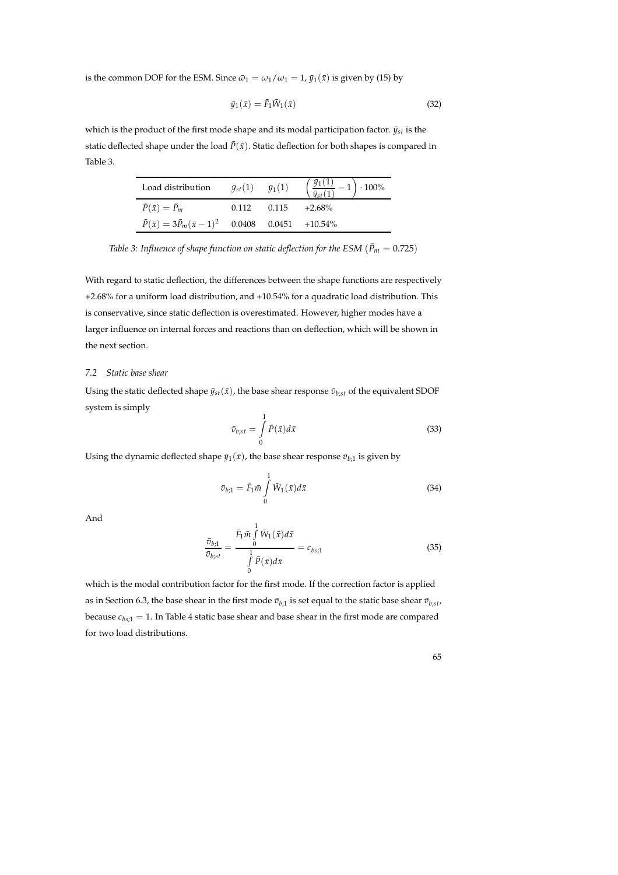is the common DOF for the ESM. Since  $\bar{\omega}_1 = \omega_1/\omega_1 = 1$ ,  $\bar{y}_1(\bar{x})$  is given by (15) by

$$
\bar{y}_1(\bar{x}) = \bar{F}_1 \bar{W}_1(\bar{x}) \tag{32}
$$

which is the product of the first mode shape and its modal participation factor.  $\bar{y}_{st}$  is the static deflected shape under the load  $\bar{P}(\bar{x})$ . Static deflection for both shapes is compared in Table 3.

| Load distribution                                                  | $\bar{y}_{st}(1)$ | $\bar{y}_1(1)$ | $\left(\frac{\bar{y}_1(1)}{\bar{y}_{st}(1)}-1\right)\cdot 100\%$ |
|--------------------------------------------------------------------|-------------------|----------------|------------------------------------------------------------------|
| $\bar{P}(\bar{x}) = \bar{P}_m$                                     | 0.112             | 0.115          | $+2.68\%$                                                        |
| $\bar{P}(\bar{x}) = 3\bar{P}_m(\bar{x}-1)^2$ 0.0408 0.0451 +10.54% |                   |                |                                                                  |

*Table 3: Influence of shape function on static deflection for the ESM* ( $\bar{P}_m = 0.725$ )

With regard to static deflection, the differences between the shape functions are respectively +2.68% for a uniform load distribution, and +10.54% for a quadratic load distribution. This is conservative, since static deflection is overestimated. However, higher modes have a larger influence on internal forces and reactions than on deflection, which will be shown in the next section.

## *7.2 Static base shear*

Using the static deflected shape  $\bar{y}_{st}(\bar{x})$ , the base shear response  $\bar{v}_{b;st}$  of the equivalent SDOF system is simply

$$
\bar{v}_{b;st} = \int_{0}^{1} \bar{P}(\bar{x}) d\bar{x}
$$
\n(33)

Using the dynamic deflected shape  $\bar{y}_1(\bar{x})$ , the base shear response  $\bar{v}_{b;1}$  is given by

$$
\bar{v}_{b;1} = \bar{F}_1 \bar{m} \int\limits_0^1 \bar{W}_1(\bar{x}) d\bar{x}
$$
\n(34)

And

$$
\frac{\bar{\sigma}_{b;1}}{\bar{\sigma}_{b;st}} = \frac{\bar{F}_1 \bar{m} \int_0^1 \bar{W}_1(\bar{x}) d\bar{x}}{\int_0^1 \bar{P}(\bar{x}) d\bar{x}} = c_{bs;1}
$$
\n(35)

which is the modal contribution factor for the first mode. If the correction factor is applied as in Section 6.3, the base shear in the first mode  $\bar{v}_{b;1}$  is set equal to the static base shear  $\bar{v}_{b;st}$ , because  $c_{bs;1} = 1$ . In Table 4 static base shear and base shear in the first mode are compared for two load distributions.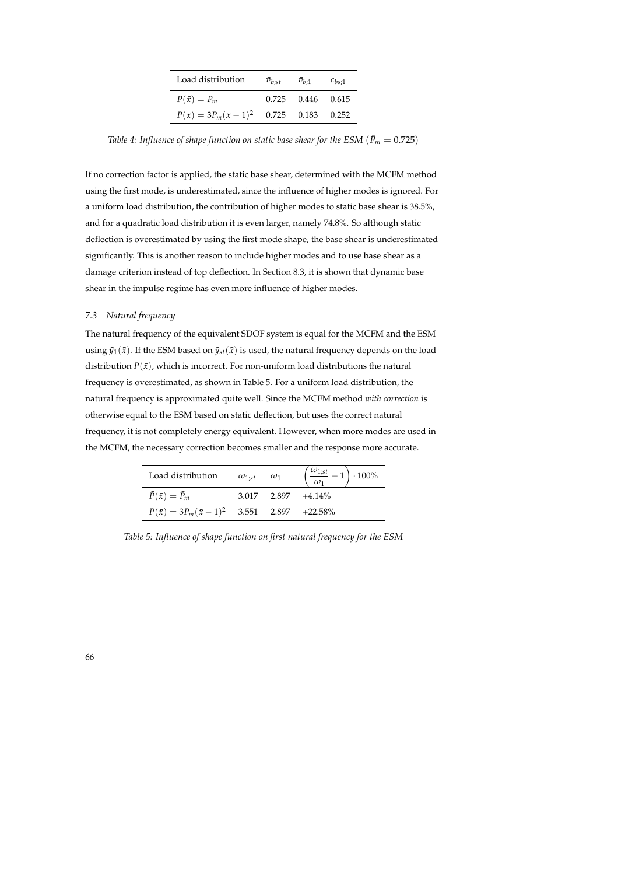| Load distribution                                              | $\bar{v}_{b:st}$ | $\bar{v}_{b:1}$ | $c_{bs:1}$ |
|----------------------------------------------------------------|------------------|-----------------|------------|
| $\bar{P}(\bar{x}) = \bar{P}_m$                                 | 0.725            | 0.446 0.615     |            |
| $\bar{P}(\bar{x}) = 3\bar{P}_m(\bar{x}-1)^2$ 0.725 0.183 0.252 |                  |                 |            |

*Table 4: Influence of shape function on static base shear for the ESM* ( $\bar{P}_m = 0.725$ )

If no correction factor is applied, the static base shear, determined with the MCFM method using the first mode, is underestimated, since the influence of higher modes is ignored. For a uniform load distribution, the contribution of higher modes to static base shear is 38.5%, and for a quadratic load distribution it is even larger, namely 74.8%. So although static deflection is overestimated by using the first mode shape, the base shear is underestimated significantly. This is another reason to include higher modes and to use base shear as a damage criterion instead of top deflection. In Section 8.3, it is shown that dynamic base shear in the impulse regime has even more influence of higher modes.

#### *7.3 Natural frequency*

The natural frequency of the equivalent SDOF system is equal for the MCFM and the ESM using  $\bar{y}_1(\bar{x})$ . If the ESM based on  $\bar{y}_{st}(\bar{x})$  is used, the natural frequency depends on the load distribution  $\bar{P}(\bar{x})$ , which is incorrect. For non-uniform load distributions the natural frequency is overestimated, as shown in Table 5. For a uniform load distribution, the natural frequency is approximated quite well. Since the MCFM method *with correction* is otherwise equal to the ESM based on static deflection, but uses the correct natural frequency, it is not completely energy equivalent. However, when more modes are used in the MCFM, the necessary correction becomes smaller and the response more accurate.

| Load distribution                                                | $\omega_{1:st}$ $\omega_1$ |             | $\left(\frac{\omega_{1,st}}{1} - 1\right) \cdot 100\%$ |
|------------------------------------------------------------------|----------------------------|-------------|--------------------------------------------------------|
| $P(\bar{x}) = \bar{P}_m$                                         |                            | 3.017 2.897 | $+4.14\%$                                              |
| $\bar{P}(\bar{x}) = 3\bar{P}_m(\bar{x}-1)^2$ 3.551 2.897 +22.58% |                            |             |                                                        |

*Table 5: Influence of shape function on first natural frequency for the ESM*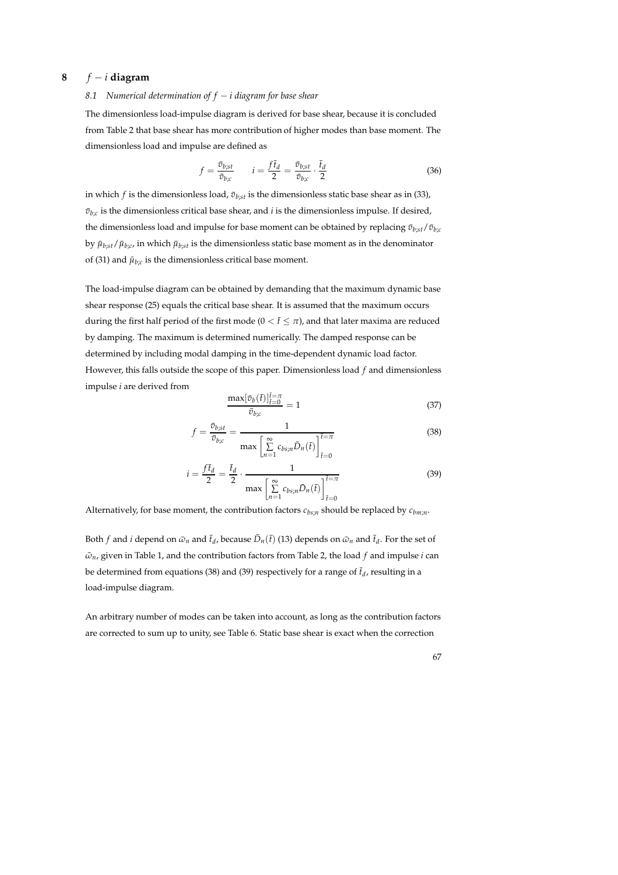## **8** *f* − *i* **diagram**

#### *8.1 Numerical determination of f* − *i diagram for base shear*

The dimensionless load-impulse diagram is derived for base shear, because it is concluded from Table 2 that base shear has more contribution of higher modes than base moment. The dimensionless load and impulse are defined as

$$
f = \frac{\bar{v}_{b;st}}{\bar{v}_{b;c}} \qquad i = \frac{f\bar{t}_d}{2} = \frac{\bar{v}_{b;st}}{\bar{v}_{b;c}} \cdot \frac{\bar{t}_d}{2}
$$
(36)

in which *f* is the dimensionless load,  $\bar{v}_{b;st}$  is the dimensionless static base shear as in (33),  $\bar{v}_{b;c}$  is the dimensionless critical base shear, and *i* is the dimensionless impulse. If desired, the dimensionless load and impulse for base moment can be obtained by replacing  $\bar{v}_{b;st}/\bar{v}_{b;c}$ by  $\bar{\mu}_{b;st}/\bar{\mu}_{b;c}$  in which  $\bar{\mu}_{b;st}$  is the dimensionless static base moment as in the denominator of (31) and  $\bar{\mu}_{b;c}$  is the dimensionless critical base moment.

The load-impulse diagram can be obtained by demanding that the maximum dynamic base shear response (25) equals the critical base shear. It is assumed that the maximum occurs during the first half period of the first mode ( $0 < \bar{t} < \pi$ ), and that later maxima are reduced by damping. The maximum is determined numerically. The damped response can be determined by including modal damping in the time-dependent dynamic load factor. However, this falls outside the scope of this paper. Dimensionless load *f* and dimensionless impulse *i* are derived from

$$
\frac{\max[\bar{v}_b(\bar{t})]_{\bar{t}=0}^{\bar{t}=\pi}}{\bar{v}_{b;c}} = 1\tag{37}
$$

$$
f = \frac{\bar{v}_{b;st}}{\bar{v}_{b;c}} = \frac{1}{\max\left[\sum_{n=1}^{\infty} c_{bs;n} \bar{D}_n(\bar{t})\right]^{\bar{t}=\pi}_{\bar{t}=0}}
$$
(38)

$$
i = \frac{f\bar{t}_d}{2} = \frac{\bar{t}_d}{2} \cdot \frac{1}{\max\left[\sum\limits_{n=1}^{\infty} c_{bs;n} \bar{D}_n(\bar{t})\right]^{\bar{t} = \pi}_{\bar{t} = 0}}
$$
(39)

Alternatively, for base moment, the contribution factors *cbs*;*<sup>n</sup>* should be replaced by *cbm*;*<sup>n</sup>* .

Both *f* and *i* depend on  $\bar{\omega}_n$  and  $\bar{t}_d$ , because  $\bar{D}_n(\bar{t})$  (13) depends on  $\bar{\omega}_n$  and  $\bar{t}_d$ . For the set of  $\bar{\omega}_n$ , given in Table 1, and the contribution factors from Table 2, the load *f* and impulse *i* can be determined from equations (38) and (39) respectively for a range of  $\bar{t}_d$ , resulting in a load-impulse diagram.

An arbitrary number of modes can be taken into account, as long as the contribution factors are corrected to sum up to unity, see Table 6. Static base shear is exact when the correction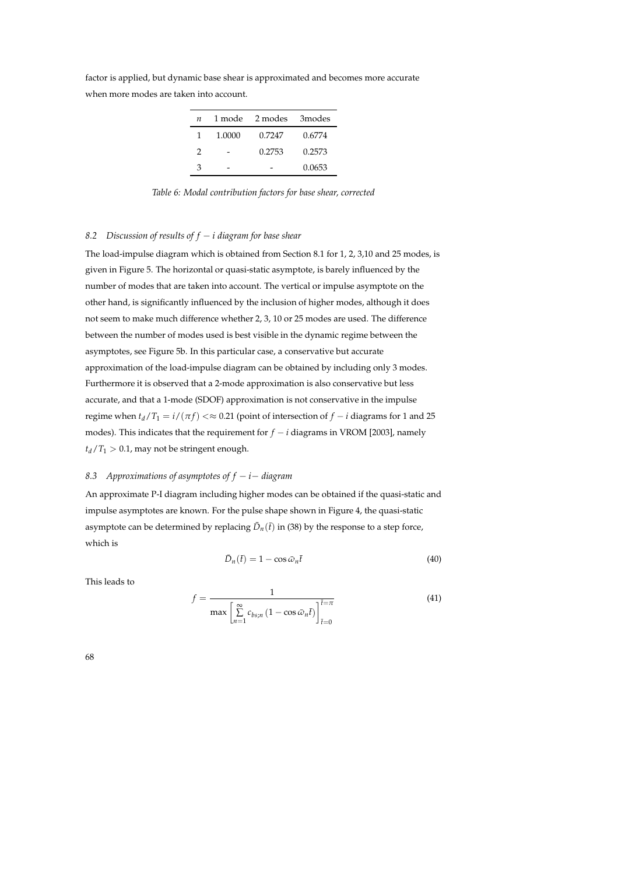| $\boldsymbol{n}$ |        | 1 mode 2 modes 3 modes |        |
|------------------|--------|------------------------|--------|
| $\mathbf{1}$     | 1.0000 | 0.7247                 | 0.6774 |
| $\mathcal{P}$    |        | 0.2753                 | 0.2573 |
| Z                |        |                        | 0.0653 |

factor is applied, but dynamic base shear is approximated and becomes more accurate when more modes are taken into account.

*Table 6: Modal contribution factors for base shear, corrected*

#### *8.2 Discussion of results of f* − *i diagram for base shear*

The load-impulse diagram which is obtained from Section 8.1 for 1, 2, 3,10 and 25 modes, is given in Figure 5. The horizontal or quasi-static asymptote, is barely influenced by the number of modes that are taken into account. The vertical or impulse asymptote on the other hand, is significantly influenced by the inclusion of higher modes, although it does not seem to make much difference whether 2, 3, 10 or 25 modes are used. The difference between the number of modes used is best visible in the dynamic regime between the asymptotes, see Figure 5b. In this particular case, a conservative but accurate approximation of the load-impulse diagram can be obtained by including only 3 modes. Furthermore it is observed that a 2-mode approximation is also conservative but less accurate, and that a 1-mode (SDOF) approximation is not conservative in the impulse regime when  $t_d/T_1 = i/(\pi f) \ll \approx 0.21$  (point of intersection of  $f - i$  diagrams for 1 and 25 modes). This indicates that the requirement for  $f - i$  diagrams in VROM [2003], namely  $t_d/T_1 > 0.1$ , may not be stringent enough.

#### *8.3 Approximations of asymptotes of f* − *i*− *diagram*

An approximate P-I diagram including higher modes can be obtained if the quasi-static and impulse asymptotes are known. For the pulse shape shown in Figure 4, the quasi-static asymptote can be determined by replacing  $\bar{D}_n(\bar{t})$  in (38) by the response to a step force, which is

$$
\bar{D}_n(\bar{t}) = 1 - \cos \bar{\omega}_n \bar{t} \tag{40}
$$

This leads to

$$
f = \frac{1}{\max\left[\sum_{n=1}^{\infty} c_{bs;n} \left(1 - \cos \bar{\omega}_n \bar{t}\right)\right]_{\bar{t}=0}^{\bar{t}=\pi}}
$$
(41)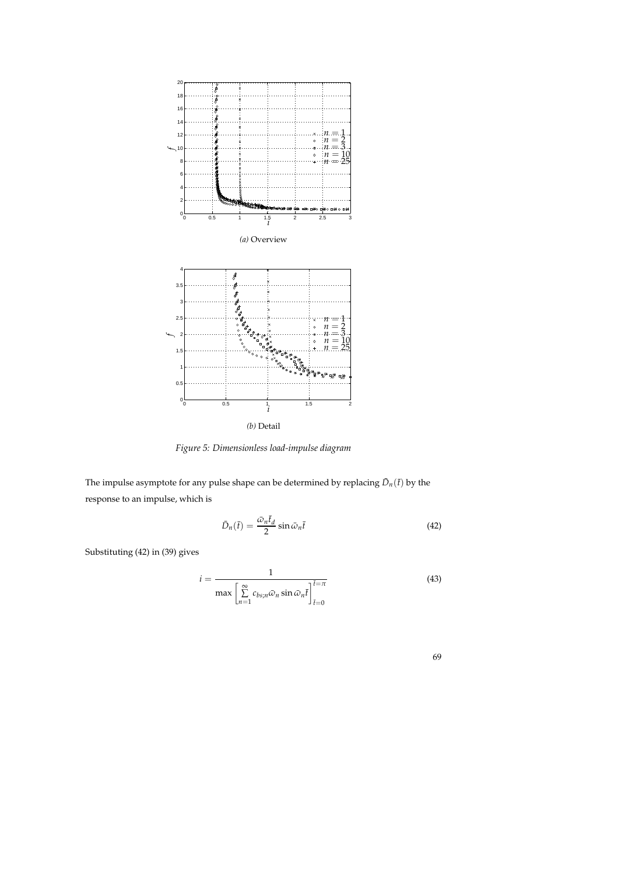

*Figure 5: Dimensionless load-impulse diagram*

The impulse asymptote for any pulse shape can be determined by replacing  $\bar{D}_n(\bar{t})$  by the response to an impulse, which is

$$
\bar{D}_n(\bar{t}) = \frac{\bar{\omega}_n \bar{t}_d}{2} \sin \bar{\omega}_n \bar{t}
$$
\n(42)

Substituting (42) in (39) gives

$$
i = \frac{1}{\max\left[\sum_{n=1}^{\infty} c_{bs;n}\bar{\omega}_n \sin \bar{\omega}_n \bar{t}\right]_{\bar{t}=0}^{\bar{t}=\pi}}
$$
(43)

69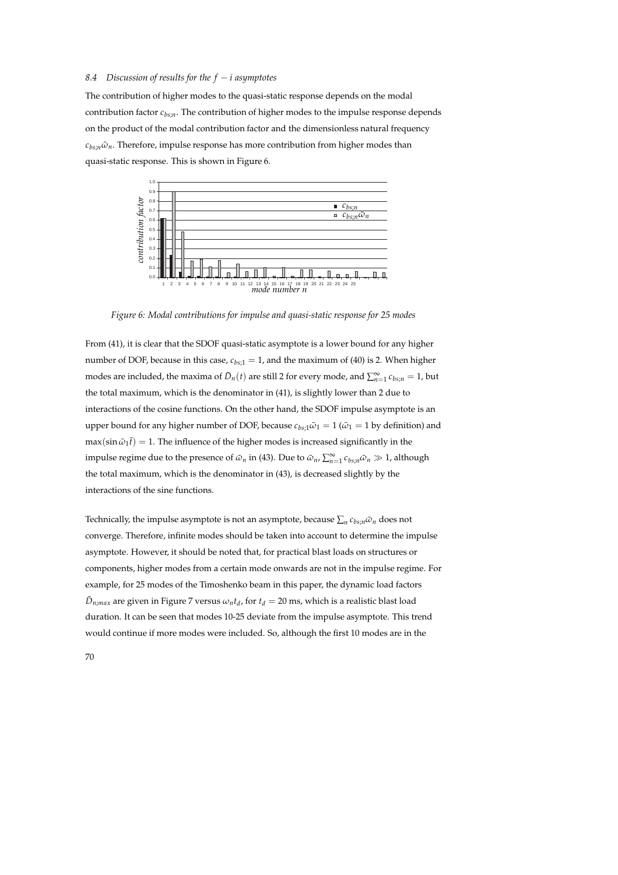#### *8.4 Discussion of results for the f* − *i asymptotes*

The contribution of higher modes to the quasi-static response depends on the modal contribution factor *cbs*;*<sup>n</sup>* . The contribution of higher modes to the impulse response depends on the product of the modal contribution factor and the dimensionless natural frequency  $c_{bs:n}\bar{\omega}_n$ . Therefore, impulse response has more contribution from higher modes than quasi-static response. This is shown in Figure 6.



*Figure 6: Modal contributions for impulse and quasi-static response for 25 modes*

From (41), it is clear that the SDOF quasi-static asymptote is a lower bound for any higher number of DOF, because in this case,  $c_{bs:1} = 1$ , and the maximum of (40) is 2. When higher modes are included, the maxima of  $\bar{D}_n(t)$  are still 2 for every mode, and  $\sum_{n=1}^{\infty} c_{bs;n} = 1$ , but the total maximum, which is the denominator in (41), is slightly lower than 2 due to interactions of the cosine functions. On the other hand, the SDOF impulse asymptote is an upper bound for any higher number of DOF, because  $c_{bs;1}\bar{\omega}_1 = 1$  ( $\bar{\omega}_1 = 1$  by definition) and  $\max(\sin \bar{\omega}_1 \bar{t}) = 1$ . The influence of the higher modes is increased significantly in the impulse regime due to the presence of  $\bar{\omega}_n$  in (43). Due to  $\bar{\omega}_n$ ,  $\sum_{n=1}^{\infty} c_{bs;n} \bar{\omega}_n \gg 1$ , although the total maximum, which is the denominator in (43), is decreased slightly by the interactions of the sine functions.

Technically, the impulse asymptote is not an asymptote, because  $\sum_n c_{bs;n} \bar{\omega}_n$  does not converge. Therefore, infinite modes should be taken into account to determine the impulse asymptote. However, it should be noted that, for practical blast loads on structures or components, higher modes from a certain mode onwards are not in the impulse regime. For example, for 25 modes of the Timoshenko beam in this paper, the dynamic load factors  $\bar{D}_{n;max}$  are given in Figure 7 versus  $\omega_n t_d$ , for  $t_d = 20$  ms, which is a realistic blast load duration. It can be seen that modes 10-25 deviate from the impulse asymptote. This trend would continue if more modes were included. So, although the first 10 modes are in the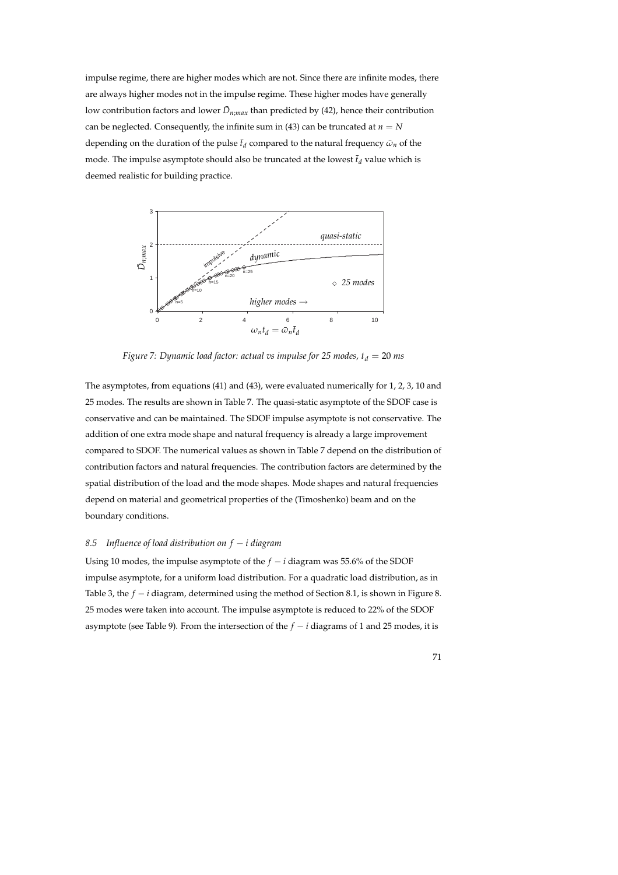impulse regime, there are higher modes which are not. Since there are infinite modes, there are always higher modes not in the impulse regime. These higher modes have generally low contribution factors and lower  $\bar{D}_{n;max}$  than predicted by (42), hence their contribution can be neglected. Consequently, the infinite sum in (43) can be truncated at  $n = N$ depending on the duration of the pulse  $\bar{t}_d$  compared to the natural frequency  $\bar{\omega}_n$  of the mode. The impulse asymptote should also be truncated at the lowest  $\bar{t}_d$  value which is deemed realistic for building practice.



*Figure 7: Dynamic load factor: actual vs impulse for 25 modes,*  $t_d = 20$  *ms* 

The asymptotes, from equations (41) and (43), were evaluated numerically for 1, 2, 3, 10 and 25 modes. The results are shown in Table 7. The quasi-static asymptote of the SDOF case is conservative and can be maintained. The SDOF impulse asymptote is not conservative. The addition of one extra mode shape and natural frequency is already a large improvement compared to SDOF. The numerical values as shown in Table 7 depend on the distribution of contribution factors and natural frequencies. The contribution factors are determined by the spatial distribution of the load and the mode shapes. Mode shapes and natural frequencies depend on material and geometrical properties of the (Timoshenko) beam and on the boundary conditions.

## *8.5 Influence of load distribution on f* − *i diagram*

Using 10 modes, the impulse asymptote of the *f* − *i* diagram was 55.6% of the SDOF impulse asymptote, for a uniform load distribution. For a quadratic load distribution, as in Table 3, the *f* − *i* diagram, determined using the method of Section 8.1, is shown in Figure 8. 25 modes were taken into account. The impulse asymptote is reduced to 22% of the SDOF asymptote (see Table 9). From the intersection of the *f* − *i* diagrams of 1 and 25 modes, it is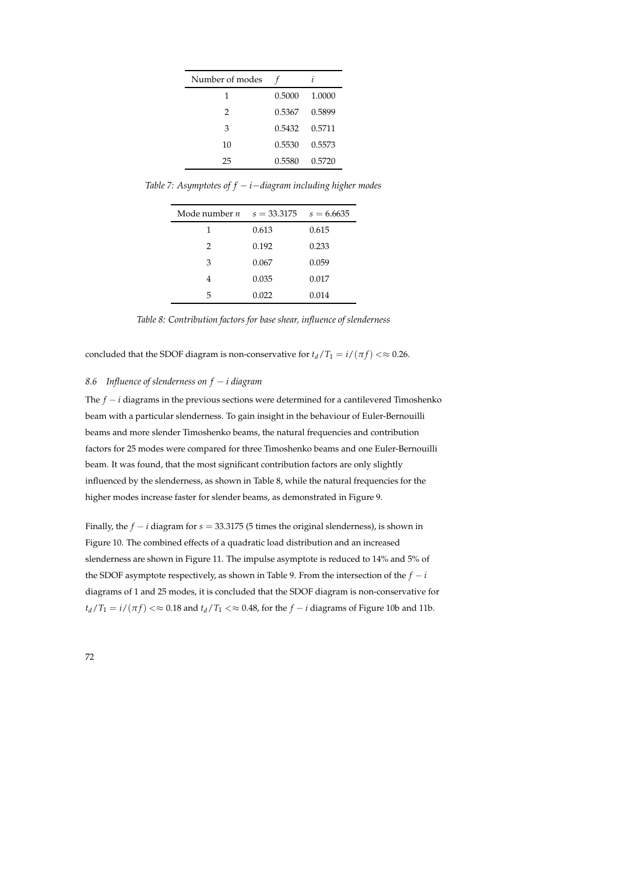| Number of modes |        |        |
|-----------------|--------|--------|
| 1               | 0.5000 | 1.0000 |
| 2               | 0.5367 | 0.5899 |
| 3               | 0.5432 | 0.5711 |
| 10              | 0.5530 | 0.5573 |
| 25              | 0.5580 | 0.5720 |

*Table 7: Asymptotes of f* − *i*−*diagram including higher modes*

| Mode number $n = s = 33.3175$ $s = 6.6635$ |       |       |
|--------------------------------------------|-------|-------|
| 1                                          | 0.613 | 0.615 |
| 2                                          | 0.192 | 0.233 |
| 3                                          | 0.067 | 0.059 |
|                                            | 0.035 | 0.017 |
| 5                                          | 0.022 | 0.014 |

*Table 8: Contribution factors for base shear, influence of slenderness*

concluded that the SDOF diagram is non-conservative for  $t_d/T_1 = i/(\pi f) \ll 0.26$ .

## *8.6 Influence of slenderness on f* − *i diagram*

The *f* − *i* diagrams in the previous sections were determined for a cantilevered Timoshenko beam with a particular slenderness. To gain insight in the behaviour of Euler-Bernouilli beams and more slender Timoshenko beams, the natural frequencies and contribution factors for 25 modes were compared for three Timoshenko beams and one Euler-Bernouilli beam. It was found, that the most significant contribution factors are only slightly influenced by the slenderness, as shown in Table 8, while the natural frequencies for the higher modes increase faster for slender beams, as demonstrated in Figure 9.

Finally, the *f* − *i* diagram for *s* = 33.3175 (5 times the original slenderness), is shown in Figure 10. The combined effects of a quadratic load distribution and an increased slenderness are shown in Figure 11. The impulse asymptote is reduced to 14% and 5% of the SDOF asymptote respectively, as shown in Table 9. From the intersection of the  $f - i$ diagrams of 1 and 25 modes, it is concluded that the SDOF diagram is non-conservative for  $t_d$ /*T*<sub>1</sub> = *i*/(*πf*) <  $\approx$  0.18 and  $t_d$ /*T*<sub>1</sub> <  $\approx$  0.48, for the *f* − *i* diagrams of Figure 10b and 11b.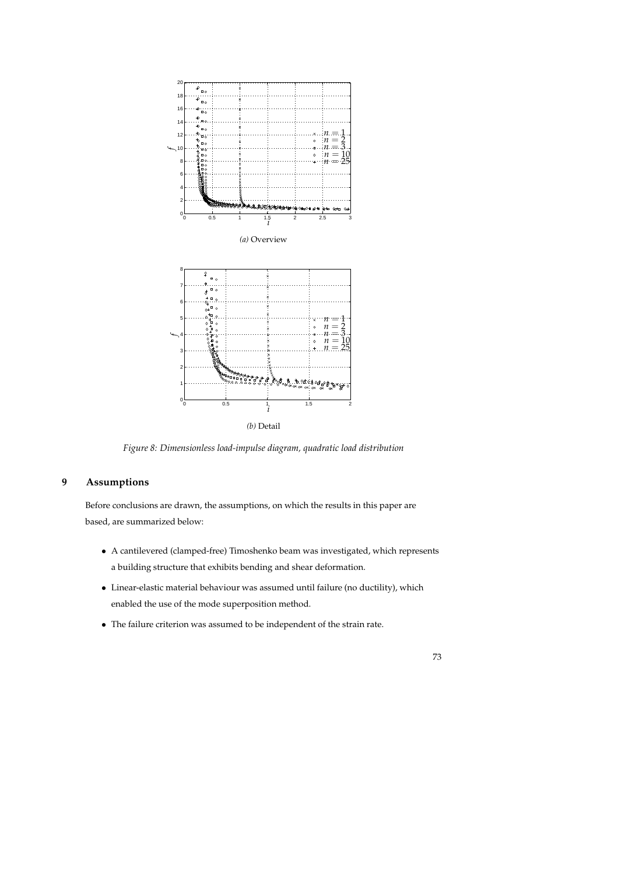

*(b)* Detail

*Figure 8: Dimensionless load-impulse diagram, quadratic load distribution*

## **9 Assumptions**

Before conclusions are drawn, the assumptions, on which the results in this paper are based, are summarized below:

- A cantilevered (clamped-free) Timoshenko beam was investigated, which represents a building structure that exhibits bending and shear deformation.
- Linear-elastic material behaviour was assumed until failure (no ductility), which enabled the use of the mode superposition method.
- The failure criterion was assumed to be independent of the strain rate.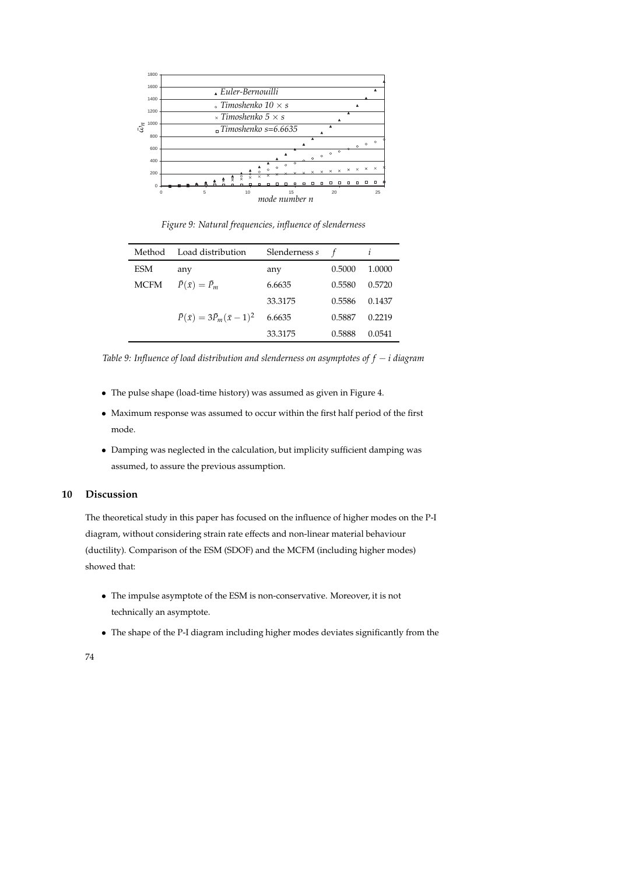

*Figure 9: Natural frequencies, influence of slenderness*

| Method      | Load distribution                            | Slenderness s |        |        |
|-------------|----------------------------------------------|---------------|--------|--------|
| ESM         | any                                          | any           | 0.5000 | 1.0000 |
| <b>MCFM</b> | $\bar{P}(\bar{x}) = \bar{P}_m$               | 6.6635        | 0.5580 | 0.5720 |
|             |                                              | 33.3175       | 0.5586 | 0.1437 |
|             | $\bar{P}(\bar{x}) = 3\bar{P}_m(\bar{x}-1)^2$ | 6.6635        | 0.5887 | 0.2219 |
|             |                                              | 33.3175       | 0.5888 | 0.0541 |

*Table 9: Influence of load distribution and slenderness on asymptotes of f* − *i diagram*

- The pulse shape (load-time history) was assumed as given in Figure 4.
- Maximum response was assumed to occur within the first half period of the first mode.
- Damping was neglected in the calculation, but implicity sufficient damping was assumed, to assure the previous assumption.

## **10 Discussion**

The theoretical study in this paper has focused on the influence of higher modes on the P-I diagram, without considering strain rate effects and non-linear material behaviour (ductility). Comparison of the ESM (SDOF) and the MCFM (including higher modes) showed that:

- The impulse asymptote of the ESM is non-conservative. Moreover, it is not technically an asymptote.
- The shape of the P-I diagram including higher modes deviates significantly from the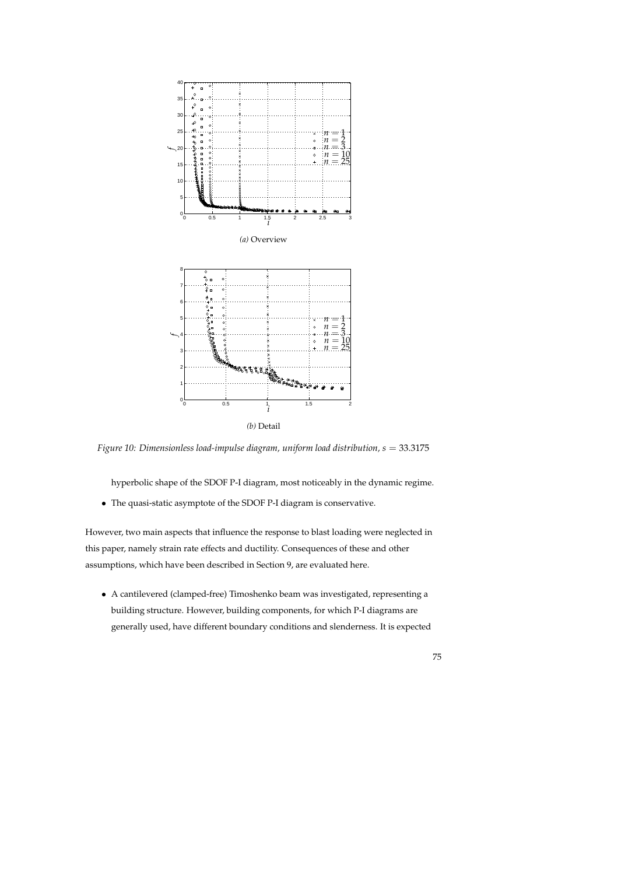

*(b)* Detail

*Figure 10: Dimensionless load-impulse diagram, uniform load distribution,*  $s = 33.3175$ 

hyperbolic shape of the SDOF P-I diagram, most noticeably in the dynamic regime.

• The quasi-static asymptote of the SDOF P-I diagram is conservative.

However, two main aspects that influence the response to blast loading were neglected in this paper, namely strain rate effects and ductility. Consequences of these and other assumptions, which have been described in Section 9, are evaluated here.

• A cantilevered (clamped-free) Timoshenko beam was investigated, representing a building structure. However, building components, for which P-I diagrams are generally used, have different boundary conditions and slenderness. It is expected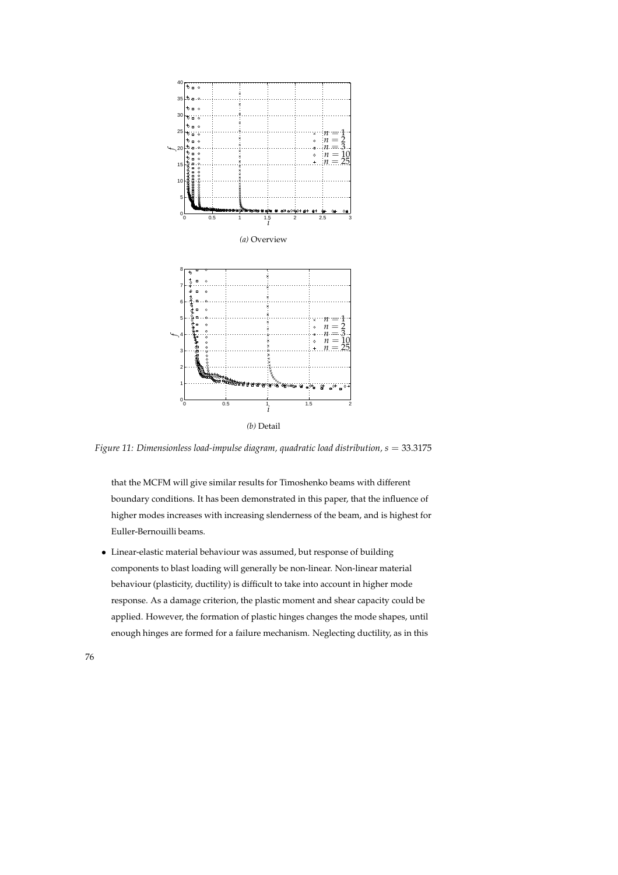

*Figure 11: Dimensionless load-impulse diagram, quadratic load distribution, s* = 33.3175

that the MCFM will give similar results for Timoshenko beams with different boundary conditions. It has been demonstrated in this paper, that the influence of higher modes increases with increasing slenderness of the beam, and is highest for Euller-Bernouilli beams.

• Linear-elastic material behaviour was assumed, but response of building components to blast loading will generally be non-linear. Non-linear material behaviour (plasticity, ductility) is difficult to take into account in higher mode response. As a damage criterion, the plastic moment and shear capacity could be applied. However, the formation of plastic hinges changes the mode shapes, until enough hinges are formed for a failure mechanism. Neglecting ductility, as in this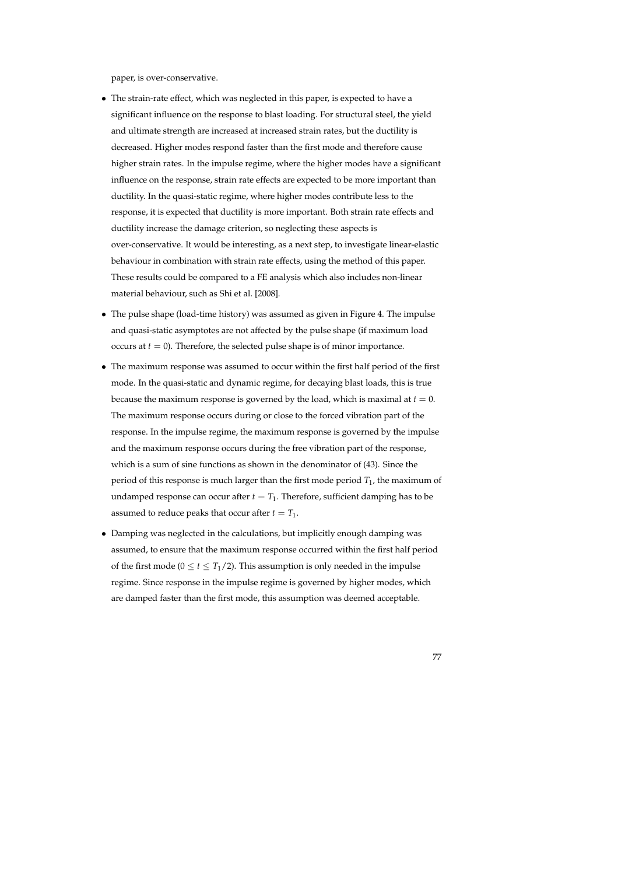paper, is over-conservative.

- The strain-rate effect, which was neglected in this paper, is expected to have a significant influence on the response to blast loading. For structural steel, the yield and ultimate strength are increased at increased strain rates, but the ductility is decreased. Higher modes respond faster than the first mode and therefore cause higher strain rates. In the impulse regime, where the higher modes have a significant influence on the response, strain rate effects are expected to be more important than ductility. In the quasi-static regime, where higher modes contribute less to the response, it is expected that ductility is more important. Both strain rate effects and ductility increase the damage criterion, so neglecting these aspects is over-conservative. It would be interesting, as a next step, to investigate linear-elastic behaviour in combination with strain rate effects, using the method of this paper. These results could be compared to a FE analysis which also includes non-linear material behaviour, such as Shi et al. [2008].
- The pulse shape (load-time history) was assumed as given in Figure 4. The impulse and quasi-static asymptotes are not affected by the pulse shape (if maximum load occurs at  $t = 0$ ). Therefore, the selected pulse shape is of minor importance.
- The maximum response was assumed to occur within the first half period of the first mode. In the quasi-static and dynamic regime, for decaying blast loads, this is true because the maximum response is governed by the load, which is maximal at  $t = 0$ . The maximum response occurs during or close to the forced vibration part of the response. In the impulse regime, the maximum response is governed by the impulse and the maximum response occurs during the free vibration part of the response, which is a sum of sine functions as shown in the denominator of (43). Since the period of this response is much larger than the first mode period  $T_1$ , the maximum of undamped response can occur after  $t = T_1$ . Therefore, sufficient damping has to be assumed to reduce peaks that occur after  $t = T_1$ .
- Damping was neglected in the calculations, but implicitly enough damping was assumed, to ensure that the maximum response occurred within the first half period of the first mode ( $0 \le t \le T_1/2$ ). This assumption is only needed in the impulse regime. Since response in the impulse regime is governed by higher modes, which are damped faster than the first mode, this assumption was deemed acceptable.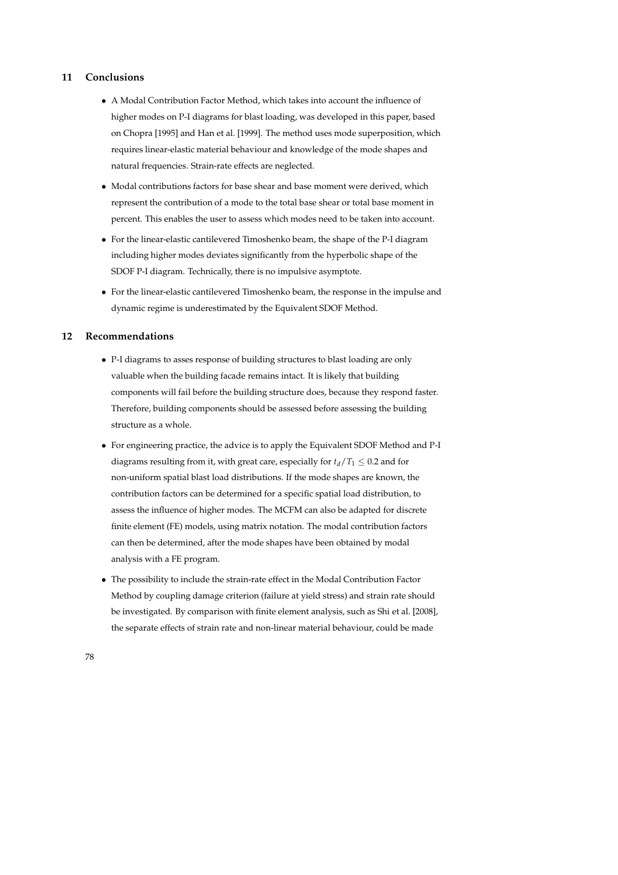## **11 Conclusions**

- A Modal Contribution Factor Method, which takes into account the influence of higher modes on P-I diagrams for blast loading, was developed in this paper, based on Chopra [1995] and Han et al. [1999]. The method uses mode superposition, which requires linear-elastic material behaviour and knowledge of the mode shapes and natural frequencies. Strain-rate effects are neglected.
- Modal contributions factors for base shear and base moment were derived, which represent the contribution of a mode to the total base shear or total base moment in percent. This enables the user to assess which modes need to be taken into account.
- For the linear-elastic cantilevered Timoshenko beam, the shape of the P-I diagram including higher modes deviates significantly from the hyperbolic shape of the SDOF P-I diagram. Technically, there is no impulsive asymptote.
- For the linear-elastic cantilevered Timoshenko beam, the response in the impulse and dynamic regime is underestimated by the Equivalent SDOF Method.

### **12 Recommendations**

- P-I diagrams to asses response of building structures to blast loading are only valuable when the building facade remains intact. It is likely that building components will fail before the building structure does, because they respond faster. Therefore, building components should be assessed before assessing the building structure as a whole.
- For engineering practice, the advice is to apply the Equivalent SDOF Method and P-I diagrams resulting from it, with great care, especially for  $t_d/T_1 \leq 0.2$  and for non-uniform spatial blast load distributions. If the mode shapes are known, the contribution factors can be determined for a specific spatial load distribution, to assess the influence of higher modes. The MCFM can also be adapted for discrete finite element (FE) models, using matrix notation. The modal contribution factors can then be determined, after the mode shapes have been obtained by modal analysis with a FE program.
- The possibility to include the strain-rate effect in the Modal Contribution Factor Method by coupling damage criterion (failure at yield stress) and strain rate should be investigated. By comparison with finite element analysis, such as Shi et al. [2008], the separate effects of strain rate and non-linear material behaviour, could be made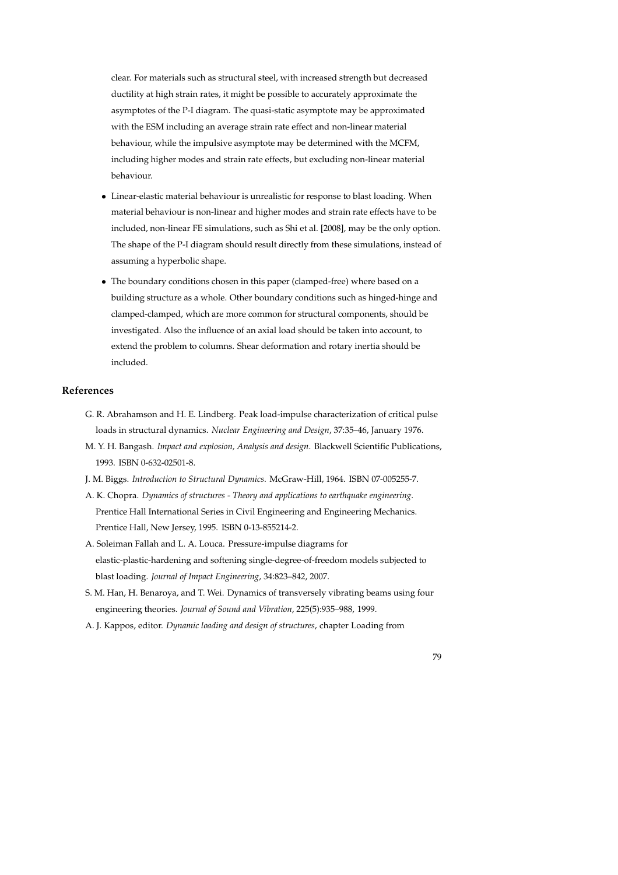clear. For materials such as structural steel, with increased strength but decreased ductility at high strain rates, it might be possible to accurately approximate the asymptotes of the P-I diagram. The quasi-static asymptote may be approximated with the ESM including an average strain rate effect and non-linear material behaviour, while the impulsive asymptote may be determined with the MCFM, including higher modes and strain rate effects, but excluding non-linear material behaviour.

- Linear-elastic material behaviour is unrealistic for response to blast loading. When material behaviour is non-linear and higher modes and strain rate effects have to be included, non-linear FE simulations, such as Shi et al. [2008], may be the only option. The shape of the P-I diagram should result directly from these simulations, instead of assuming a hyperbolic shape.
- The boundary conditions chosen in this paper (clamped-free) where based on a building structure as a whole. Other boundary conditions such as hinged-hinge and clamped-clamped, which are more common for structural components, should be investigated. Also the influence of an axial load should be taken into account, to extend the problem to columns. Shear deformation and rotary inertia should be included.

## **References**

- G. R. Abrahamson and H. E. Lindberg. Peak load-impulse characterization of critical pulse loads in structural dynamics. *Nuclear Engineering and Design*, 37:35–46, January 1976.
- M. Y. H. Bangash. *Impact and explosion, Analysis and design*. Blackwell Scientific Publications, 1993. ISBN 0-632-02501-8.
- J. M. Biggs. *Introduction to Structural Dynamics*. McGraw-Hill, 1964. ISBN 07-005255-7.
- A. K. Chopra. *Dynamics of structures Theory and applications to earthquake engineering*. Prentice Hall International Series in Civil Engineering and Engineering Mechanics. Prentice Hall, New Jersey, 1995. ISBN 0-13-855214-2.
- A. Soleiman Fallah and L. A. Louca. Pressure-impulse diagrams for elastic-plastic-hardening and softening single-degree-of-freedom models subjected to blast loading. *Journal of Impact Engineering*, 34:823–842, 2007.
- S. M. Han, H. Benaroya, and T. Wei. Dynamics of transversely vibrating beams using four engineering theories. *Journal of Sound and Vibration*, 225(5):935–988, 1999.
- A. J. Kappos, editor. *Dynamic loading and design of structures*, chapter Loading from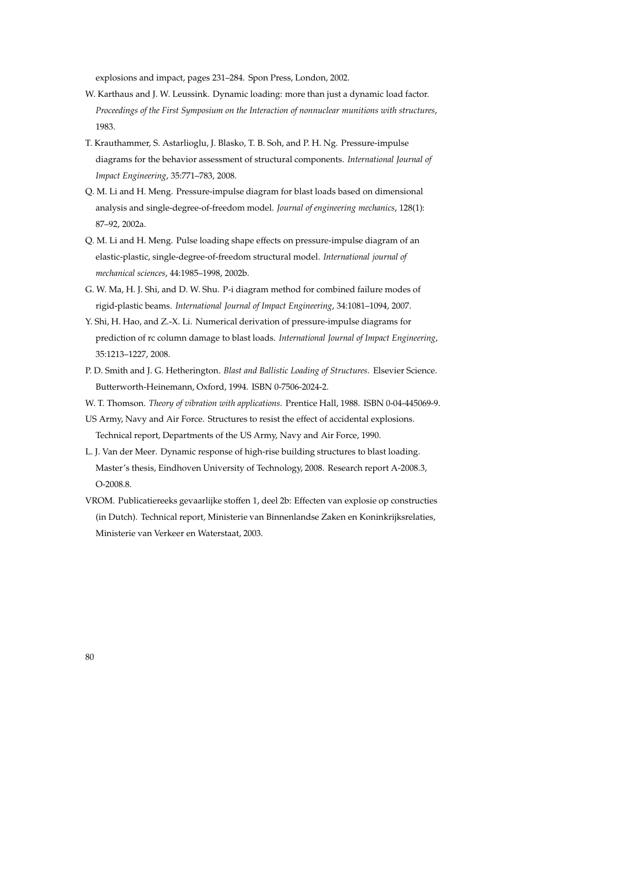explosions and impact, pages 231–284. Spon Press, London, 2002.

- W. Karthaus and J. W. Leussink. Dynamic loading: more than just a dynamic load factor. *Proceedings of the First Symposium on the Interaction of nonnuclear munitions with structures*, 1983.
- T. Krauthammer, S. Astarlioglu, J. Blasko, T. B. Soh, and P. H. Ng. Pressure-impulse diagrams for the behavior assessment of structural components. *International Journal of Impact Engineering*, 35:771–783, 2008.
- Q. M. Li and H. Meng. Pressure-impulse diagram for blast loads based on dimensional analysis and single-degree-of-freedom model. *Journal of engineering mechanics*, 128(1): 87–92, 2002a.
- Q. M. Li and H. Meng. Pulse loading shape effects on pressure-impulse diagram of an elastic-plastic, single-degree-of-freedom structural model. *International journal of mechanical sciences*, 44:1985–1998, 2002b.
- G. W. Ma, H. J. Shi, and D. W. Shu. P-i diagram method for combined failure modes of rigid-plastic beams. *International Journal of Impact Engineering*, 34:1081–1094, 2007.
- Y. Shi, H. Hao, and Z.-X. Li. Numerical derivation of pressure-impulse diagrams for prediction of rc column damage to blast loads. *International Journal of Impact Engineering*, 35:1213–1227, 2008.
- P. D. Smith and J. G. Hetherington. *Blast and Ballistic Loading of Structures*. Elsevier Science. Butterworth-Heinemann, Oxford, 1994. ISBN 0-7506-2024-2.
- W. T. Thomson. *Theory of vibration with applications*. Prentice Hall, 1988. ISBN 0-04-445069-9.
- US Army, Navy and Air Force. Structures to resist the effect of accidental explosions. Technical report, Departments of the US Army, Navy and Air Force, 1990.
- L. J. Van der Meer. Dynamic response of high-rise building structures to blast loading. Master's thesis, Eindhoven University of Technology, 2008. Research report A-2008.3, O-2008.8.
- VROM. Publicatiereeks gevaarlijke stoffen 1, deel 2b: Effecten van explosie op constructies (in Dutch). Technical report, Ministerie van Binnenlandse Zaken en Koninkrijksrelaties, Ministerie van Verkeer en Waterstaat, 2003.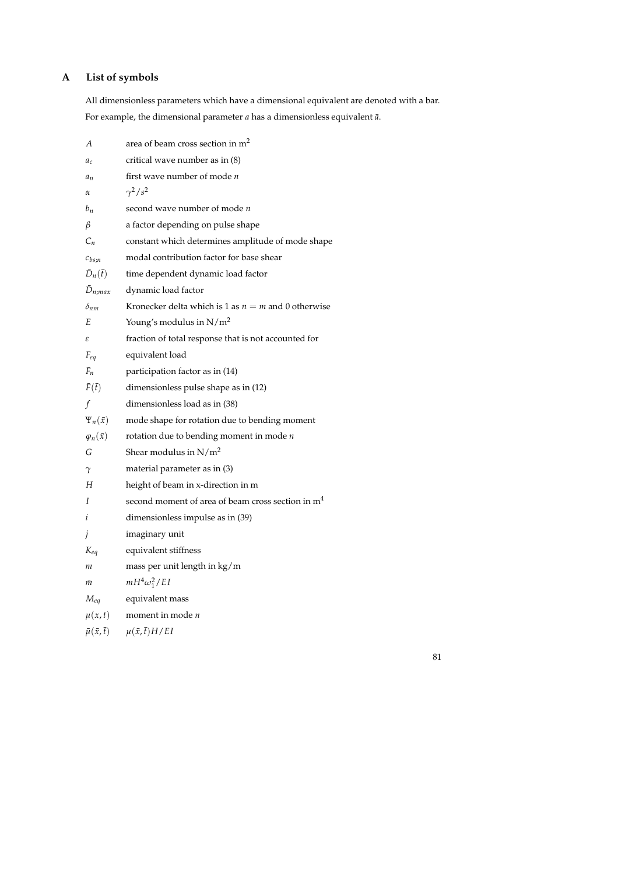## **A List of symbols**

All dimensionless parameters which have a dimensional equivalent are denoted with a bar. For example, the dimensional parameter *a* has a dimensionless equivalent  $\bar{a}$ .

| А                            | area of beam cross section in m <sup>2</sup>                  |
|------------------------------|---------------------------------------------------------------|
| $a_c$                        | critical wave number as in (8)                                |
| $a_n$                        | first wave number of mode n                                   |
| α                            | $\gamma^2/s^2$                                                |
| $b_n$                        | second wave number of mode $n$                                |
| β                            | a factor depending on pulse shape                             |
| $C_n$                        | constant which determines amplitude of mode shape             |
| $c_{bs:n}$                   | modal contribution factor for base shear                      |
| $\bar{D}_n(\bar{t})$         | time dependent dynamic load factor                            |
| $\bar{D}_{n;max}$            | dynamic load factor                                           |
| $\delta_{nm}$                | Kronecker delta which is 1 as $n = m$ and 0 otherwise         |
| Е                            | Young's modulus in $N/m^2$                                    |
| ε                            | fraction of total response that is not accounted for          |
| $F_{eq}$                     | equivalent load                                               |
| $F_n$                        | participation factor as in (14)                               |
| $\bar{F}(\bar{t})$           | dimensionless pulse shape as in (12)                          |
| f                            | dimensionless load as in (38)                                 |
| $\Psi_n(\bar{x})$            | mode shape for rotation due to bending moment                 |
| $\varphi_n(\bar{x})$         | rotation due to bending moment in mode $n$                    |
| G                            | Shear modulus in $N/m^2$                                      |
| γ                            | material parameter as in (3)                                  |
| Н                            | height of beam in x-direction in m                            |
| I                            | second moment of area of beam cross section in m <sup>4</sup> |
| i                            | dimensionless impulse as in (39)                              |
| $\mathfrak{z}$               | imaginary unit                                                |
| $K_{eq}$                     | equivalent stiffness                                          |
| т                            | mass per unit length in kg/m                                  |
| m                            | $mH^4\omega_1^2/EI$                                           |
| $M_{eq}$                     | equivalent mass                                               |
| $\mu(x,t)$                   | moment in mode $n$                                            |
| $\bar{\mu}(\bar{x},\bar{t})$ | $\mu(\bar{x},\bar{t})H/EI$                                    |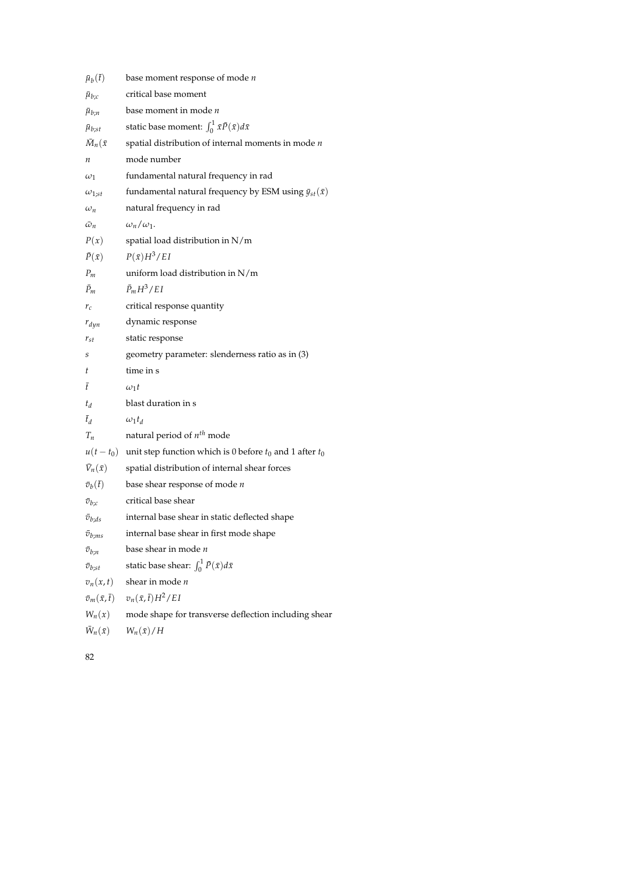| $\bar{\mu}_b(\bar{t})$       | base moment response of mode <i>n</i>                              |
|------------------------------|--------------------------------------------------------------------|
| $\bar{\mu}_{b;c}$            | critical base moment                                               |
| $\mu_{b;n}$                  | base moment in mode <i>n</i>                                       |
| $\bar{\mu}_{b;st}$           | static base moment: $\int_0^1 \bar{x} \bar{P}(\bar{x}) d\bar{x}$   |
| $\bar{M}_n(\bar{x})$         | spatial distribution of internal moments in mode $n$               |
| п                            | mode number                                                        |
| $\omega_1$                   | fundamental natural frequency in rad                               |
| $\omega_{1;st}$              | fundamental natural frequency by ESM using $\bar{y}_{st}(\bar{x})$ |
| $\omega_n$                   | natural frequency in rad                                           |
| $\bar{\omega}_n$             | $\omega_n/\omega_1$ .                                              |
| P(x)                         | spatial load distribution in N/m                                   |
| $\bar{P}(\bar{x})$           | $P(\bar{x})H^3/EI$                                                 |
| $P_m$                        | uniform load distribution in N/m                                   |
| $\bar{P}_m$                  | $\bar{P}_m H^3/EI$                                                 |
| $r_c$                        | critical response quantity                                         |
| $r_{dyn}$                    | dynamic response                                                   |
| $r_{st}$                     | static response                                                    |
| S                            | geometry parameter: slenderness ratio as in (3)                    |
| t                            | time in s                                                          |
| Ŧ                            | $\omega_1 t$                                                       |
| $t_d$                        | blast duration in s                                                |
| $\bar{t}_d$                  | $\omega_1 t_d$                                                     |
| $T_n$                        | natural period of $n^{th}$ mode                                    |
| $u(t-t_0)$                   | unit step function which is 0 before $t_0$ and 1 after $t_0$       |
| $\bar{V}_n(\bar{x})$         | spatial distribution of internal shear forces                      |
| $\bar{v}_b(\bar{t})$         | base shear response of mode $n$                                    |
| $\bar{v}_{b,c}$              | critical base shear                                                |
| $\bar{v}_{b;ds}$             | internal base shear in static deflected shape                      |
| $\bar{v}_{b;ms}$             | internal base shear in first mode shape                            |
| $\bar{v}_{b;n}$              | base shear in mode n                                               |
| $\bar{v}_{b;st}$             | static base shear: $\int_0^1 \bar{P}(\bar{x}) d\bar{x}$            |
| $v_n(x,t)$                   | shear in mode $n$                                                  |
| $\bar{v}_m(\bar{x},\bar{t})$ | $v_n(\bar{x},\bar{t})H^2/EI$                                       |
| $W_n(x)$                     | mode shape for transverse deflection including shear               |
| $\bar{W}_n(\bar{x})$         | $W_n(\bar{x})/H$                                                   |